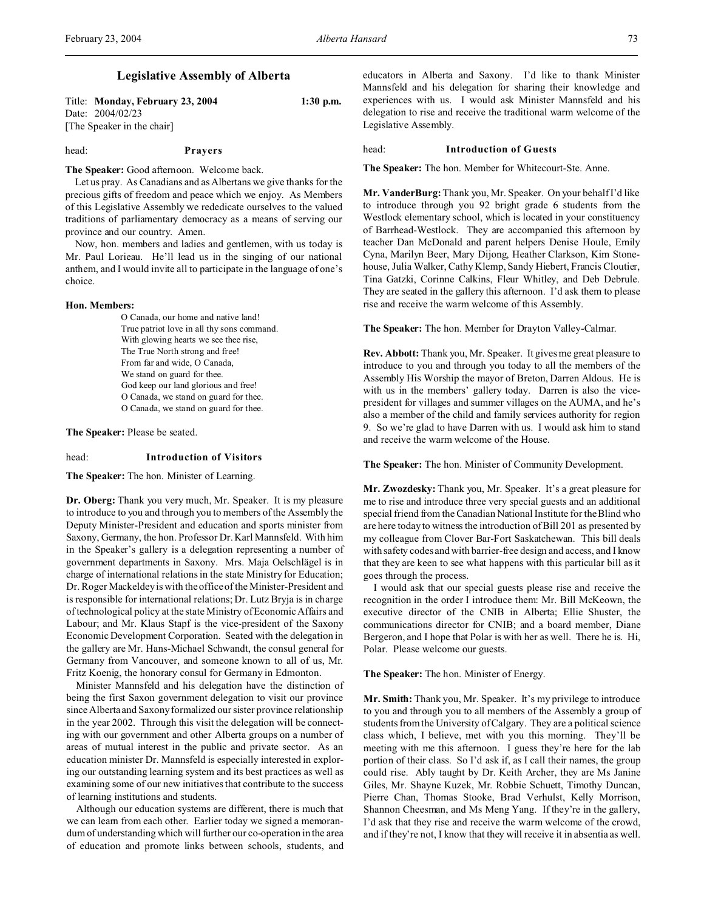# **Legislative Assembly of Alberta**

Title: **Monday, February 23, 2004 1:30 p.m.** Date: 2004/02/23 [The Speaker in the chair]

# head: **Prayers**

**The Speaker:** Good afternoon. Welcome back.

Let us pray. As Canadians and as Albertans we give thanks for the precious gifts of freedom and peace which we enjoy. As Members of this Legislative Assembly we rededicate ourselves to the valued traditions of parliamentary democracy as a means of serving our province and our country. Amen.

Now, hon. members and ladies and gentlemen, with us today is Mr. Paul Lorieau. He'll lead us in the singing of our national anthem, and I would invite all to participate in the language of one's choice.

# **Hon. Members:**

O Canada, our home and native land! True patriot love in all thy sons command. With glowing hearts we see thee rise, The True North strong and free! From far and wide, O Canada, We stand on guard for thee. God keep our land glorious and free! O Canada, we stand on guard for thee. O Canada, we stand on guard for thee.

**The Speaker:** Please be seated.

# head: **Introduction of Visitors**

**The Speaker:** The hon. Minister of Learning.

**Dr. Oberg:** Thank you very much, Mr. Speaker. It is my pleasure to introduce to you and through you to members of the Assembly the Deputy Minister-President and education and sports minister from Saxony, Germany, the hon. Professor Dr. Karl Mannsfeld. With him in the Speaker's gallery is a delegation representing a number of government departments in Saxony. Mrs. Maja Oelschlägel is in charge of international relations in the state Ministry for Education; Dr. Roger Mackeldey is with the office of the Minister-President and is responsible for international relations; Dr. Lutz Bryja is in charge of technological policy at the state Ministry of Economic Affairs and Labour; and Mr. Klaus Stapf is the vice-president of the Saxony Economic Development Corporation. Seated with the delegation in the gallery are Mr. Hans-Michael Schwandt, the consul general for Germany from Vancouver, and someone known to all of us, Mr. Fritz Koenig, the honorary consul for Germany in Edmonton.

Minister Mannsfeld and his delegation have the distinction of being the first Saxon government delegation to visit our province since Alberta and Saxony formalized our sister province relationship in the year 2002. Through this visit the delegation will be connecting with our government and other Alberta groups on a number of areas of mutual interest in the public and private sector. As an education minister Dr. Mannsfeld is especially interested in exploring our outstanding learning system and its best practices as well as examining some of our new initiatives that contribute to the success of learning institutions and students.

Although our education systems are different, there is much that we can learn from each other. Earlier today we signed a memorandum of understanding which will further our co-operation in the area of education and promote links between schools, students, and educators in Alberta and Saxony. I'd like to thank Minister Mannsfeld and his delegation for sharing their knowledge and experiences with us. I would ask Minister Mannsfeld and his delegation to rise and receive the traditional warm welcome of the Legislative Assembly.

# head: **Introduction of Guests**

**The Speaker:** The hon. Member for Whitecourt-Ste. Anne.

**Mr. VanderBurg:** Thank you, Mr. Speaker. On your behalf I'd like to introduce through you 92 bright grade 6 students from the Westlock elementary school, which is located in your constituency of Barrhead-Westlock. They are accompanied this afternoon by teacher Dan McDonald and parent helpers Denise Houle, Emily Cyna, Marilyn Beer, Mary Dijong, Heather Clarkson, Kim Stonehouse, Julia Walker, Cathy Klemp, Sandy Hiebert, Francis Cloutier, Tina Gatzki, Corinne Calkins, Fleur Whitley, and Deb Debrule. They are seated in the gallery this afternoon. I'd ask them to please rise and receive the warm welcome of this Assembly.

**The Speaker:** The hon. Member for Drayton Valley-Calmar.

**Rev. Abbott:** Thank you, Mr. Speaker. It gives me great pleasure to introduce to you and through you today to all the members of the Assembly His Worship the mayor of Breton, Darren Aldous. He is with us in the members' gallery today. Darren is also the vicepresident for villages and summer villages on the AUMA, and he's also a member of the child and family services authority for region 9. So we're glad to have Darren with us. I would ask him to stand and receive the warm welcome of the House.

**The Speaker:** The hon. Minister of Community Development.

**Mr. Zwozdesky:** Thank you, Mr. Speaker. It's a great pleasure for me to rise and introduce three very special guests and an additional special friend from the Canadian National Institute for the Blind who are here today to witness the introduction of Bill 201 as presented by my colleague from Clover Bar-Fort Saskatchewan. This bill deals with safety codes and with barrier-free design and access, and I know that they are keen to see what happens with this particular bill as it goes through the process.

I would ask that our special guests please rise and receive the recognition in the order I introduce them: Mr. Bill McKeown, the executive director of the CNIB in Alberta; Ellie Shuster, the communications director for CNIB; and a board member, Diane Bergeron, and I hope that Polar is with her as well. There he is. Hi, Polar. Please welcome our guests.

**The Speaker:** The hon. Minister of Energy.

**Mr. Smith:** Thank you, Mr. Speaker. It's my privilege to introduce to you and through you to all members of the Assembly a group of students from the University of Calgary. They are a political science class which, I believe, met with you this morning. They'll be meeting with me this afternoon. I guess they're here for the lab portion of their class. So I'd ask if, as I call their names, the group could rise. Ably taught by Dr. Keith Archer, they are Ms Janine Giles, Mr. Shayne Kuzek, Mr. Robbie Schuett, Timothy Duncan, Pierre Chan, Thomas Stooke, Brad Verhulst, Kelly Morrison, Shannon Cheesman, and Ms Meng Yang. If they're in the gallery, I'd ask that they rise and receive the warm welcome of the crowd, and if they're not, I know that they will receive it in absentia as well.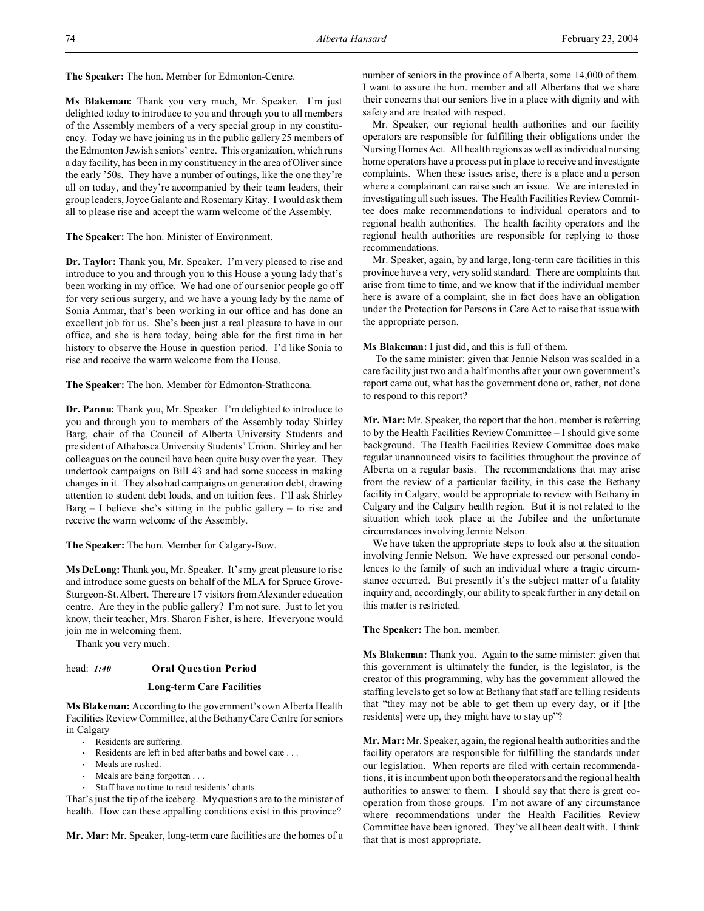**Ms Blakeman:** Thank you very much, Mr. Speaker. I'm just delighted today to introduce to you and through you to all members of the Assembly members of a very special group in my constituency. Today we have joining us in the public gallery 25 members of the Edmonton Jewish seniors' centre. This organization, which runs a day facility, has been in my constituency in the area of Oliver since the early '50s. They have a number of outings, like the one they're all on today, and they're accompanied by their team leaders, their group leaders, Joyce Galante and Rosemary Kitay. I would ask them all to please rise and accept the warm welcome of the Assembly.

**The Speaker:** The hon. Minister of Environment.

**Dr. Taylor:** Thank you, Mr. Speaker. I'm very pleased to rise and introduce to you and through you to this House a young lady that's been working in my office. We had one of our senior people go off for very serious surgery, and we have a young lady by the name of Sonia Ammar, that's been working in our office and has done an excellent job for us. She's been just a real pleasure to have in our office, and she is here today, being able for the first time in her history to observe the House in question period. I'd like Sonia to rise and receive the warm welcome from the House.

**The Speaker:** The hon. Member for Edmonton-Strathcona.

**Dr. Pannu:** Thank you, Mr. Speaker. I'm delighted to introduce to you and through you to members of the Assembly today Shirley Barg, chair of the Council of Alberta University Students and president of Athabasca University Students' Union. Shirley and her colleagues on the council have been quite busy over the year. They undertook campaigns on Bill 43 and had some success in making changes in it. They also had campaigns on generation debt, drawing attention to student debt loads, and on tuition fees. I'll ask Shirley  $Barg - I$  believe she's sitting in the public gallery – to rise and receive the warm welcome of the Assembly.

**The Speaker:** The hon. Member for Calgary-Bow.

**Ms DeLong:** Thank you, Mr. Speaker. It's my great pleasure to rise and introduce some guests on behalf of the MLA for Spruce Grove-Sturgeon-St. Albert. There are 17 visitors from Alexander education centre. Are they in the public gallery? I'm not sure. Just to let you know, their teacher, Mrs. Sharon Fisher, is here. If everyone would join me in welcoming them.

Thank you very much.

# head: *1:40* **Oral Question Period**

## **Long-term Care Facilities**

**Ms Blakeman:** According to the government's own Alberta Health Facilities Review Committee, at the Bethany Care Centre for seniors in Calgary

- Residents are suffering.
- Residents are left in bed after baths and bowel care . . .
- Meals are rushed.
- Meals are being forgotten . . .
- Staff have no time to read residents' charts.

That's just the tip of the iceberg. My questions are to the minister of health. How can these appalling conditions exist in this province?

**Mr. Mar:** Mr. Speaker, long-term care facilities are the homes of a

number of seniors in the province of Alberta, some 14,000 of them. I want to assure the hon. member and all Albertans that we share their concerns that our seniors live in a place with dignity and with safety and are treated with respect.

Mr. Speaker, our regional health authorities and our facility operators are responsible for fulfilling their obligations under the Nursing Homes Act. All health regions as well as individual nursing home operators have a process put in place to receive and investigate complaints. When these issues arise, there is a place and a person where a complainant can raise such an issue. We are interested in investigating all such issues. The Health Facilities Review Committee does make recommendations to individual operators and to regional health authorities. The health facility operators and the regional health authorities are responsible for replying to those recommendations.

Mr. Speaker, again, by and large, long-term care facilities in this province have a very, very solid standard. There are complaints that arise from time to time, and we know that if the individual member here is aware of a complaint, she in fact does have an obligation under the Protection for Persons in Care Act to raise that issue with the appropriate person.

# **Ms Blakeman:** I just did, and this is full of them.

 To the same minister: given that Jennie Nelson was scalded in a care facility just two and a half months after your own government's report came out, what has the government done or, rather, not done to respond to this report?

**Mr. Mar:** Mr. Speaker, the report that the hon. member is referring to by the Health Facilities Review Committee – I should give some background. The Health Facilities Review Committee does make regular unannounced visits to facilities throughout the province of Alberta on a regular basis. The recommendations that may arise from the review of a particular facility, in this case the Bethany facility in Calgary, would be appropriate to review with Bethany in Calgary and the Calgary health region. But it is not related to the situation which took place at the Jubilee and the unfortunate circumstances involving Jennie Nelson.

We have taken the appropriate steps to look also at the situation involving Jennie Nelson. We have expressed our personal condolences to the family of such an individual where a tragic circumstance occurred. But presently it's the subject matter of a fatality inquiry and, accordingly, our ability to speak further in any detail on this matter is restricted.

#### **The Speaker:** The hon. member.

**Ms Blakeman:** Thank you. Again to the same minister: given that this government is ultimately the funder, is the legislator, is the creator of this programming, why has the government allowed the staffing levels to get so low at Bethany that staff are telling residents that "they may not be able to get them up every day, or if [the residents] were up, they might have to stay up"?

**Mr. Mar:** Mr. Speaker, again, the regional health authorities and the facility operators are responsible for fulfilling the standards under our legislation. When reports are filed with certain recommendations, it is incumbent upon both the operators and the regional health authorities to answer to them. I should say that there is great cooperation from those groups. I'm not aware of any circumstance where recommendations under the Health Facilities Review Committee have been ignored. They've all been dealt with. I think that that is most appropriate.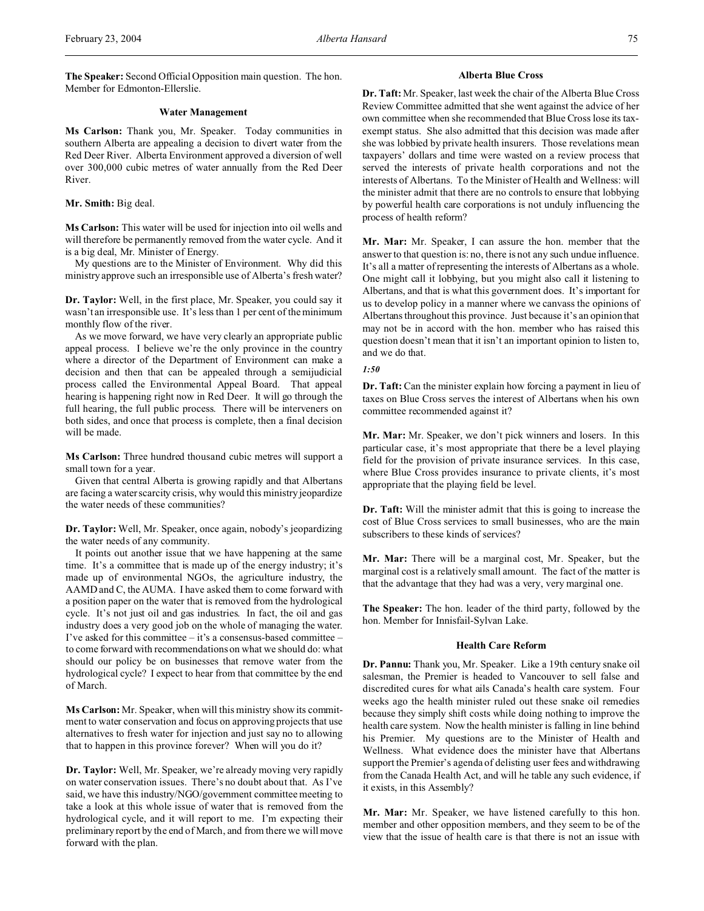# **Water Management**

**Ms Carlson:** Thank you, Mr. Speaker. Today communities in southern Alberta are appealing a decision to divert water from the Red Deer River. Alberta Environment approved a diversion of well over 300,000 cubic metres of water annually from the Red Deer River.

**Mr. Smith:** Big deal.

**Ms Carlson:** This water will be used for injection into oil wells and will therefore be permanently removed from the water cycle. And it is a big deal, Mr. Minister of Energy.

My questions are to the Minister of Environment. Why did this ministry approve such an irresponsible use of Alberta's fresh water?

**Dr. Taylor:** Well, in the first place, Mr. Speaker, you could say it wasn't an irresponsible use. It's less than 1 per cent of the minimum monthly flow of the river.

As we move forward, we have very clearly an appropriate public appeal process. I believe we're the only province in the country where a director of the Department of Environment can make a decision and then that can be appealed through a semijudicial process called the Environmental Appeal Board. That appeal hearing is happening right now in Red Deer. It will go through the full hearing, the full public process. There will be interveners on both sides, and once that process is complete, then a final decision will be made.

**Ms Carlson:** Three hundred thousand cubic metres will support a small town for a year.

Given that central Alberta is growing rapidly and that Albertans are facing a water scarcity crisis, why would this ministry jeopardize the water needs of these communities?

**Dr. Taylor:** Well, Mr. Speaker, once again, nobody's jeopardizing the water needs of any community.

It points out another issue that we have happening at the same time. It's a committee that is made up of the energy industry; it's made up of environmental NGOs, the agriculture industry, the AAMD and C, the AUMA. I have asked them to come forward with a position paper on the water that is removed from the hydrological cycle. It's not just oil and gas industries. In fact, the oil and gas industry does a very good job on the whole of managing the water. I've asked for this committee – it's a consensus-based committee – to come forward with recommendations on what we should do: what should our policy be on businesses that remove water from the hydrological cycle? I expect to hear from that committee by the end of March.

**Ms Carlson:** Mr. Speaker, when will this ministry show its commitment to water conservation and focus on approving projects that use alternatives to fresh water for injection and just say no to allowing that to happen in this province forever? When will you do it?

**Dr. Taylor:** Well, Mr. Speaker, we're already moving very rapidly on water conservation issues. There's no doubt about that. As I've said, we have this industry/NGO/government committee meeting to take a look at this whole issue of water that is removed from the hydrological cycle, and it will report to me. I'm expecting their preliminary report by the end of March, and from there we will move forward with the plan.

# **Alberta Blue Cross**

**Dr. Taft:** Mr. Speaker, last week the chair of the Alberta Blue Cross Review Committee admitted that she went against the advice of her own committee when she recommended that Blue Cross lose its taxexempt status. She also admitted that this decision was made after she was lobbied by private health insurers. Those revelations mean taxpayers' dollars and time were wasted on a review process that served the interests of private health corporations and not the interests of Albertans. To the Minister of Health and Wellness: will the minister admit that there are no controls to ensure that lobbying by powerful health care corporations is not unduly influencing the process of health reform?

**Mr. Mar:** Mr. Speaker, I can assure the hon. member that the answer to that question is: no, there is not any such undue influence. It's all a matter of representing the interests of Albertans as a whole. One might call it lobbying, but you might also call it listening to Albertans, and that is what this government does. It's important for us to develop policy in a manner where we canvass the opinions of Albertans throughout this province. Just because it's an opinion that may not be in accord with the hon. member who has raised this question doesn't mean that it isn't an important opinion to listen to, and we do that.

*1:50*

**Dr. Taft:** Can the minister explain how forcing a payment in lieu of taxes on Blue Cross serves the interest of Albertans when his own committee recommended against it?

**Mr. Mar:** Mr. Speaker, we don't pick winners and losers. In this particular case, it's most appropriate that there be a level playing field for the provision of private insurance services. In this case, where Blue Cross provides insurance to private clients, it's most appropriate that the playing field be level.

**Dr. Taft:** Will the minister admit that this is going to increase the cost of Blue Cross services to small businesses, who are the main subscribers to these kinds of services?

**Mr. Mar:** There will be a marginal cost, Mr. Speaker, but the marginal cost is a relatively small amount. The fact of the matter is that the advantage that they had was a very, very marginal one.

**The Speaker:** The hon. leader of the third party, followed by the hon. Member for Innisfail-Sylvan Lake.

# **Health Care Reform**

**Dr. Pannu:** Thank you, Mr. Speaker. Like a 19th century snake oil salesman, the Premier is headed to Vancouver to sell false and discredited cures for what ails Canada's health care system. Four weeks ago the health minister ruled out these snake oil remedies because they simply shift costs while doing nothing to improve the health care system. Now the health minister is falling in line behind his Premier. My questions are to the Minister of Health and Wellness. What evidence does the minister have that Albertans support the Premier's agenda of delisting user fees and withdrawing from the Canada Health Act, and will he table any such evidence, if it exists, in this Assembly?

**Mr. Mar:** Mr. Speaker, we have listened carefully to this hon. member and other opposition members, and they seem to be of the view that the issue of health care is that there is not an issue with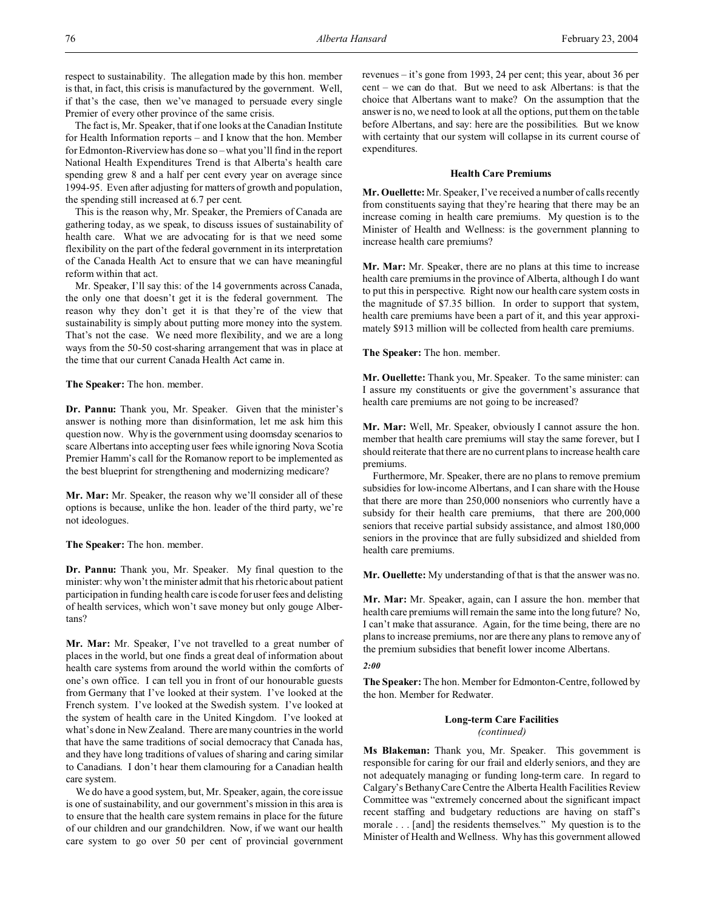respect to sustainability. The allegation made by this hon. member is that, in fact, this crisis is manufactured by the government. Well, if that's the case, then we've managed to persuade every single Premier of every other province of the same crisis.

The fact is, Mr. Speaker, that if one looks at the Canadian Institute for Health Information reports – and I know that the hon. Member for Edmonton-Riverview has done so – what you'll find in the report National Health Expenditures Trend is that Alberta's health care spending grew 8 and a half per cent every year on average since 1994-95. Even after adjusting for matters of growth and population, the spending still increased at 6.7 per cent.

This is the reason why, Mr. Speaker, the Premiers of Canada are gathering today, as we speak, to discuss issues of sustainability of health care. What we are advocating for is that we need some flexibility on the part of the federal government in its interpretation of the Canada Health Act to ensure that we can have meaningful reform within that act.

Mr. Speaker, I'll say this: of the 14 governments across Canada, the only one that doesn't get it is the federal government. The reason why they don't get it is that they're of the view that sustainability is simply about putting more money into the system. That's not the case. We need more flexibility, and we are a long ways from the 50-50 cost-sharing arrangement that was in place at the time that our current Canada Health Act came in.

**The Speaker:** The hon. member.

**Dr. Pannu:** Thank you, Mr. Speaker. Given that the minister's answer is nothing more than disinformation, let me ask him this question now. Why is the government using doomsday scenarios to scare Albertans into accepting user fees while ignoring Nova Scotia Premier Hamm's call for the Romanow report to be implemented as the best blueprint for strengthening and modernizing medicare?

**Mr. Mar:** Mr. Speaker, the reason why we'll consider all of these options is because, unlike the hon. leader of the third party, we're not ideologues.

**The Speaker:** The hon. member.

**Dr. Pannu:** Thank you, Mr. Speaker. My final question to the minister: why won't the minister admit that his rhetoric about patient participation in funding health care is code for user fees and delisting of health services, which won't save money but only gouge Albertans?

**Mr. Mar:** Mr. Speaker, I've not travelled to a great number of places in the world, but one finds a great deal of information about health care systems from around the world within the comforts of one's own office. I can tell you in front of our honourable guests from Germany that I've looked at their system. I've looked at the French system. I've looked at the Swedish system. I've looked at the system of health care in the United Kingdom. I've looked at what's done in New Zealand. There are many countries in the world that have the same traditions of social democracy that Canada has, and they have long traditions of values of sharing and caring similar to Canadians. I don't hear them clamouring for a Canadian health care system.

We do have a good system, but, Mr. Speaker, again, the core issue is one of sustainability, and our government's mission in this area is to ensure that the health care system remains in place for the future of our children and our grandchildren. Now, if we want our health care system to go over 50 per cent of provincial government

revenues – it's gone from 1993, 24 per cent; this year, about 36 per cent – we can do that. But we need to ask Albertans: is that the choice that Albertans want to make? On the assumption that the answer is no, we need to look at all the options, put them on the table before Albertans, and say: here are the possibilities. But we know with certainty that our system will collapse in its current course of expenditures.

## **Health Care Premiums**

**Mr. Ouellette:** Mr. Speaker, I've received a number of calls recently from constituents saying that they're hearing that there may be an increase coming in health care premiums. My question is to the Minister of Health and Wellness: is the government planning to increase health care premiums?

**Mr. Mar:** Mr. Speaker, there are no plans at this time to increase health care premiums in the province of Alberta, although I do want to put this in perspective. Right now our health care system costs in the magnitude of \$7.35 billion. In order to support that system, health care premiums have been a part of it, and this year approximately \$913 million will be collected from health care premiums.

**The Speaker:** The hon. member.

**Mr. Ouellette:** Thank you, Mr. Speaker. To the same minister: can I assure my constituents or give the government's assurance that health care premiums are not going to be increased?

**Mr. Mar:** Well, Mr. Speaker, obviously I cannot assure the hon. member that health care premiums will stay the same forever, but I should reiterate that there are no current plans to increase health care premiums.

Furthermore, Mr. Speaker, there are no plans to remove premium subsidies for low-income Albertans, and I can share with the House that there are more than 250,000 nonseniors who currently have a subsidy for their health care premiums, that there are 200,000 seniors that receive partial subsidy assistance, and almost 180,000 seniors in the province that are fully subsidized and shielded from health care premiums.

**Mr. Ouellette:** My understanding of that is that the answer was no.

**Mr. Mar:** Mr. Speaker, again, can I assure the hon. member that health care premiums will remain the same into the long future? No, I can't make that assurance. Again, for the time being, there are no plans to increase premiums, nor are there any plans to remove any of the premium subsidies that benefit lower income Albertans.

## *2:00*

**The Speaker:** The hon. Member for Edmonton-Centre, followed by the hon. Member for Redwater.

# **Long-term Care Facilities** *(continued)*

**Ms Blakeman:** Thank you, Mr. Speaker. This government is responsible for caring for our frail and elderly seniors, and they are not adequately managing or funding long-term care. In regard to Calgary's Bethany Care Centre the Alberta Health Facilities Review Committee was "extremely concerned about the significant impact recent staffing and budgetary reductions are having on staff's morale . . . [and] the residents themselves." My question is to the Minister of Health and Wellness. Why has this government allowed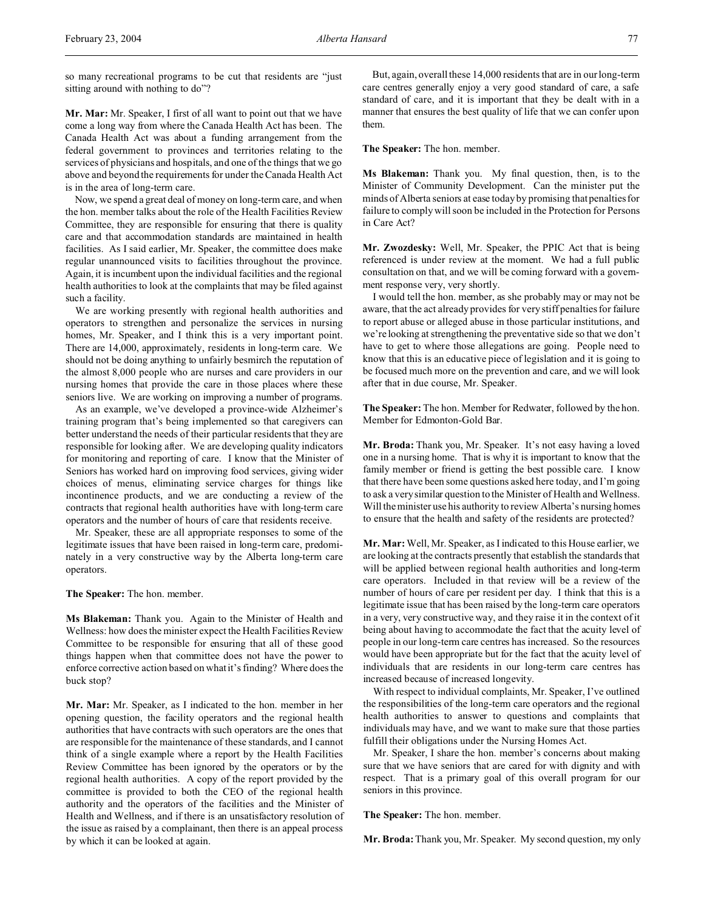so many recreational programs to be cut that residents are "just sitting around with nothing to do"?

**Mr. Mar:** Mr. Speaker, I first of all want to point out that we have come a long way from where the Canada Health Act has been. The Canada Health Act was about a funding arrangement from the federal government to provinces and territories relating to the services of physicians and hospitals, and one of the things that we go above and beyond the requirements for under the Canada Health Act is in the area of long-term care.

Now, we spend a great deal of money on long-term care, and when the hon. member talks about the role of the Health Facilities Review Committee, they are responsible for ensuring that there is quality care and that accommodation standards are maintained in health facilities. As I said earlier, Mr. Speaker, the committee does make regular unannounced visits to facilities throughout the province. Again, it is incumbent upon the individual facilities and the regional health authorities to look at the complaints that may be filed against such a facility.

We are working presently with regional health authorities and operators to strengthen and personalize the services in nursing homes, Mr. Speaker, and I think this is a very important point. There are 14,000, approximately, residents in long-term care. We should not be doing anything to unfairly besmirch the reputation of the almost 8,000 people who are nurses and care providers in our nursing homes that provide the care in those places where these seniors live. We are working on improving a number of programs.

As an example, we've developed a province-wide Alzheimer's training program that's being implemented so that caregivers can better understand the needs of their particular residents that they are responsible for looking after. We are developing quality indicators for monitoring and reporting of care. I know that the Minister of Seniors has worked hard on improving food services, giving wider choices of menus, eliminating service charges for things like incontinence products, and we are conducting a review of the contracts that regional health authorities have with long-term care operators and the number of hours of care that residents receive.

Mr. Speaker, these are all appropriate responses to some of the legitimate issues that have been raised in long-term care, predominately in a very constructive way by the Alberta long-term care operators.

**The Speaker:** The hon. member.

**Ms Blakeman:** Thank you. Again to the Minister of Health and Wellness: how does the minister expect the Health Facilities Review Committee to be responsible for ensuring that all of these good things happen when that committee does not have the power to enforce corrective action based on what it's finding? Where does the buck stop?

**Mr. Mar:** Mr. Speaker, as I indicated to the hon. member in her opening question, the facility operators and the regional health authorities that have contracts with such operators are the ones that are responsible for the maintenance of these standards, and I cannot think of a single example where a report by the Health Facilities Review Committee has been ignored by the operators or by the regional health authorities. A copy of the report provided by the committee is provided to both the CEO of the regional health authority and the operators of the facilities and the Minister of Health and Wellness, and if there is an unsatisfactory resolution of the issue as raised by a complainant, then there is an appeal process by which it can be looked at again.

But, again, overall these 14,000 residents that are in our long-term care centres generally enjoy a very good standard of care, a safe standard of care, and it is important that they be dealt with in a manner that ensures the best quality of life that we can confer upon them.

**The Speaker:** The hon. member.

**Ms Blakeman:** Thank you. My final question, then, is to the Minister of Community Development. Can the minister put the minds of Alberta seniors at ease today by promising that penalties for failure to comply will soon be included in the Protection for Persons in Care Act?

**Mr. Zwozdesky:** Well, Mr. Speaker, the PPIC Act that is being referenced is under review at the moment. We had a full public consultation on that, and we will be coming forward with a government response very, very shortly.

I would tell the hon. member, as she probably may or may not be aware, that the act already provides for very stiff penalties for failure to report abuse or alleged abuse in those particular institutions, and we're looking at strengthening the preventative side so that we don't have to get to where those allegations are going. People need to know that this is an educative piece of legislation and it is going to be focused much more on the prevention and care, and we will look after that in due course, Mr. Speaker.

**The Speaker:** The hon. Member for Redwater, followed by the hon. Member for Edmonton-Gold Bar.

**Mr. Broda:** Thank you, Mr. Speaker. It's not easy having a loved one in a nursing home. That is why it is important to know that the family member or friend is getting the best possible care. I know that there have been some questions asked here today, and I'm going to ask a very similar question to the Minister of Health and Wellness. Will the minister use his authority to review Alberta's nursing homes to ensure that the health and safety of the residents are protected?

**Mr. Mar:** Well, Mr. Speaker, as I indicated to this House earlier, we are looking at the contracts presently that establish the standards that will be applied between regional health authorities and long-term care operators. Included in that review will be a review of the number of hours of care per resident per day. I think that this is a legitimate issue that has been raised by the long-term care operators in a very, very constructive way, and they raise it in the context of it being about having to accommodate the fact that the acuity level of people in our long-term care centres has increased. So the resources would have been appropriate but for the fact that the acuity level of individuals that are residents in our long-term care centres has increased because of increased longevity.

With respect to individual complaints, Mr. Speaker, I've outlined the responsibilities of the long-term care operators and the regional health authorities to answer to questions and complaints that individuals may have, and we want to make sure that those parties fulfill their obligations under the Nursing Homes Act.

Mr. Speaker, I share the hon. member's concerns about making sure that we have seniors that are cared for with dignity and with respect. That is a primary goal of this overall program for our seniors in this province.

**The Speaker:** The hon. member.

**Mr. Broda:**Thank you, Mr. Speaker. My second question, my only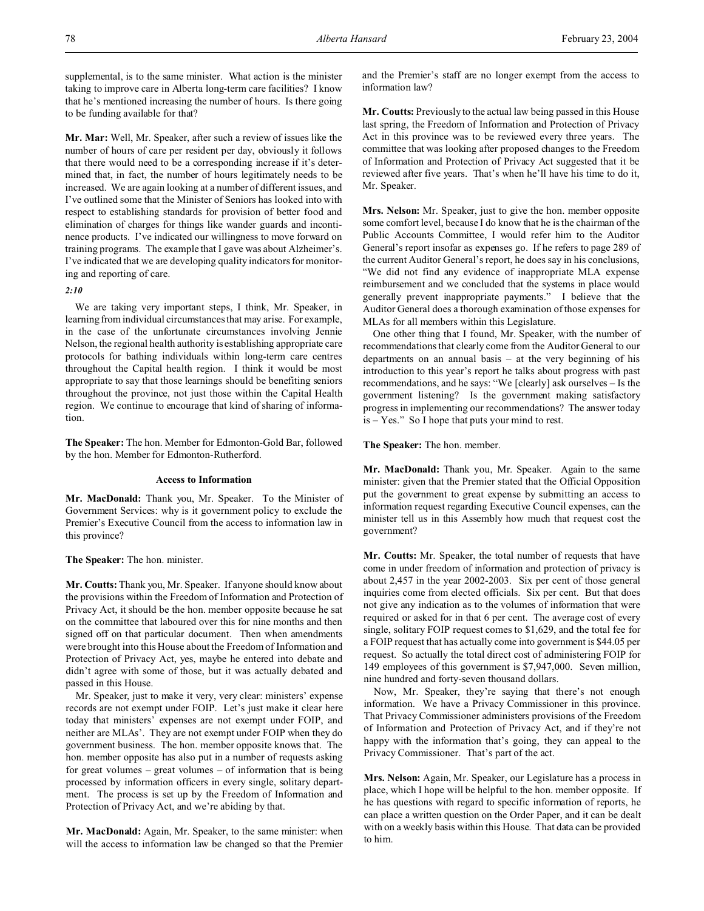supplemental, is to the same minister. What action is the minister taking to improve care in Alberta long-term care facilities? I know that he's mentioned increasing the number of hours. Is there going to be funding available for that?

**Mr. Mar:** Well, Mr. Speaker, after such a review of issues like the number of hours of care per resident per day, obviously it follows that there would need to be a corresponding increase if it's determined that, in fact, the number of hours legitimately needs to be increased. We are again looking at a number of different issues, and I've outlined some that the Minister of Seniors has looked into with respect to establishing standards for provision of better food and elimination of charges for things like wander guards and incontinence products. I've indicated our willingness to move forward on training programs. The example that I gave was about Alzheimer's. I've indicated that we are developing quality indicators for monitoring and reporting of care.

# *2:10*

We are taking very important steps, I think, Mr. Speaker, in learning from individual circumstances that may arise. For example, in the case of the unfortunate circumstances involving Jennie Nelson, the regional health authority is establishing appropriate care protocols for bathing individuals within long-term care centres throughout the Capital health region. I think it would be most appropriate to say that those learnings should be benefiting seniors throughout the province, not just those within the Capital Health region. We continue to encourage that kind of sharing of information.

**The Speaker:** The hon. Member for Edmonton-Gold Bar, followed by the hon. Member for Edmonton-Rutherford.

## **Access to Information**

**Mr. MacDonald:** Thank you, Mr. Speaker. To the Minister of Government Services: why is it government policy to exclude the Premier's Executive Council from the access to information law in this province?

## **The Speaker:** The hon. minister.

**Mr. Coutts:** Thank you, Mr. Speaker. If anyone should know about the provisions within the Freedom of Information and Protection of Privacy Act, it should be the hon. member opposite because he sat on the committee that laboured over this for nine months and then signed off on that particular document. Then when amendments were brought into this House about the Freedom of Information and Protection of Privacy Act, yes, maybe he entered into debate and didn't agree with some of those, but it was actually debated and passed in this House.

Mr. Speaker, just to make it very, very clear: ministers' expense records are not exempt under FOIP. Let's just make it clear here today that ministers' expenses are not exempt under FOIP, and neither are MLAs'. They are not exempt under FOIP when they do government business. The hon. member opposite knows that. The hon. member opposite has also put in a number of requests asking for great volumes – great volumes – of information that is being processed by information officers in every single, solitary department. The process is set up by the Freedom of Information and Protection of Privacy Act, and we're abiding by that.

**Mr. MacDonald:** Again, Mr. Speaker, to the same minister: when will the access to information law be changed so that the Premier and the Premier's staff are no longer exempt from the access to information law?

**Mr. Coutts:** Previously to the actual law being passed in this House last spring, the Freedom of Information and Protection of Privacy Act in this province was to be reviewed every three years. The committee that was looking after proposed changes to the Freedom of Information and Protection of Privacy Act suggested that it be reviewed after five years. That's when he'll have his time to do it, Mr. Speaker.

**Mrs. Nelson:** Mr. Speaker, just to give the hon. member opposite some comfort level, because I do know that he is the chairman of the Public Accounts Committee, I would refer him to the Auditor General's report insofar as expenses go. If he refers to page 289 of the current Auditor General's report, he does say in his conclusions, "We did not find any evidence of inappropriate MLA expense reimbursement and we concluded that the systems in place would generally prevent inappropriate payments." I believe that the Auditor General does a thorough examination of those expenses for MLAs for all members within this Legislature.

One other thing that I found, Mr. Speaker, with the number of recommendations that clearly come from the Auditor General to our departments on an annual basis – at the very beginning of his introduction to this year's report he talks about progress with past recommendations, and he says: "We [clearly] ask ourselves – Is the government listening? Is the government making satisfactory progress in implementing our recommendations? The answer today is – Yes." So I hope that puts your mind to rest.

**The Speaker:** The hon. member.

**Mr. MacDonald:** Thank you, Mr. Speaker. Again to the same minister: given that the Premier stated that the Official Opposition put the government to great expense by submitting an access to information request regarding Executive Council expenses, can the minister tell us in this Assembly how much that request cost the government?

**Mr. Coutts:** Mr. Speaker, the total number of requests that have come in under freedom of information and protection of privacy is about 2,457 in the year 2002-2003. Six per cent of those general inquiries come from elected officials. Six per cent. But that does not give any indication as to the volumes of information that were required or asked for in that 6 per cent. The average cost of every single, solitary FOIP request comes to \$1,629, and the total fee for a FOIP request that has actually come into government is \$44.05 per request. So actually the total direct cost of administering FOIP for 149 employees of this government is \$7,947,000. Seven million, nine hundred and forty-seven thousand dollars.

Now, Mr. Speaker, they're saying that there's not enough information. We have a Privacy Commissioner in this province. That Privacy Commissioner administers provisions of the Freedom of Information and Protection of Privacy Act, and if they're not happy with the information that's going, they can appeal to the Privacy Commissioner. That's part of the act.

**Mrs. Nelson:** Again, Mr. Speaker, our Legislature has a process in place, which I hope will be helpful to the hon. member opposite. If he has questions with regard to specific information of reports, he can place a written question on the Order Paper, and it can be dealt with on a weekly basis within this House. That data can be provided to him.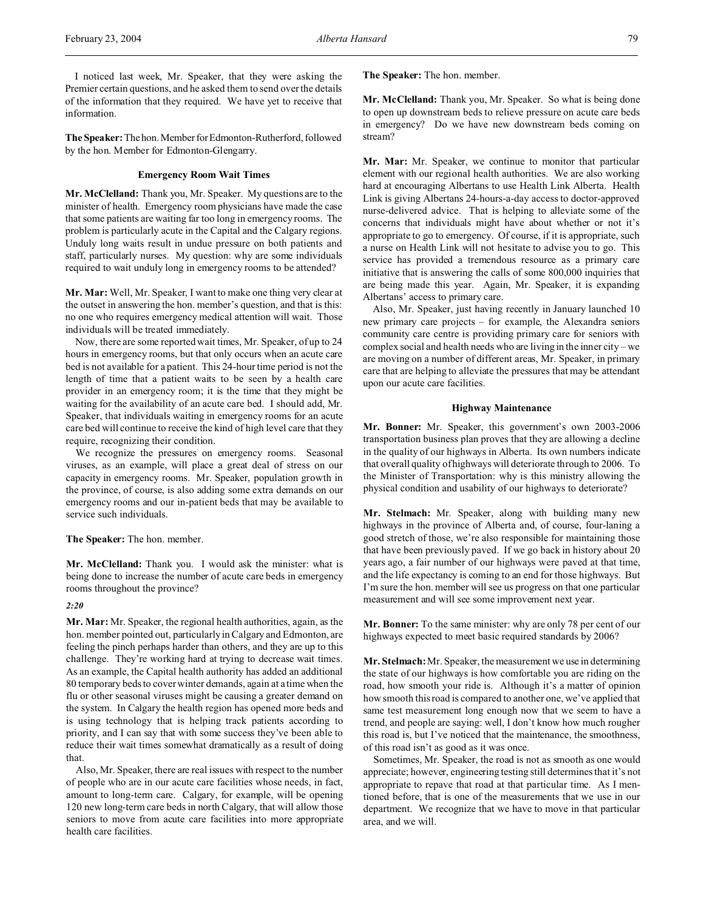I noticed last week, Mr. Speaker, that they were asking the Premier certain questions, and he asked them to send over the details of the information that they required. We have yet to receive that information.

The Speaker: The hon. Member for Edmonton-Rutherford, followed by the hon. Member for Edmonton-Glengarry.

# **Emergency Room Wait Times**

**Mr. McClelland:** Thank you, Mr. Speaker. My questions are to the minister of health. Emergency room physicians have made the case that some patients are waiting far too long in emergency rooms. The problem is particularly acute in the Capital and the Calgary regions. Unduly long waits result in undue pressure on both patients and staff, particularly nurses. My question: why are some individuals required to wait unduly long in emergency rooms to be attended?

**Mr. Mar:** Well, Mr. Speaker, I want to make one thing very clear at the outset in answering the hon. member's question, and that is this: no one who requires emergency medical attention will wait. Those individuals will be treated immediately.

Now, there are some reported wait times, Mr. Speaker, of up to 24 hours in emergency rooms, but that only occurs when an acute care bed is not available for a patient. This 24-hour time period is not the length of time that a patient waits to be seen by a health care provider in an emergency room; it is the time that they might be waiting for the availability of an acute care bed. I should add, Mr. Speaker, that individuals waiting in emergency rooms for an acute care bed will continue to receive the kind of high level care that they require, recognizing their condition.

We recognize the pressures on emergency rooms. Seasonal viruses, as an example, will place a great deal of stress on our capacity in emergency rooms. Mr. Speaker, population growth in the province, of course, is also adding some extra demands on our emergency rooms and our in-patient beds that may be available to service such individuals.

**The Speaker:** The hon. member.

**Mr. McClelland:** Thank you. I would ask the minister: what is being done to increase the number of acute care beds in emergency rooms throughout the province?

# *2:20*

**Mr. Mar:** Mr. Speaker, the regional health authorities, again, as the hon. member pointed out, particularly in Calgary and Edmonton, are feeling the pinch perhaps harder than others, and they are up to this challenge. They're working hard at trying to decrease wait times. As an example, the Capital health authority has added an additional 80 temporary beds to cover winter demands, again at a time when the flu or other seasonal viruses might be causing a greater demand on the system. In Calgary the health region has opened more beds and is using technology that is helping track patients according to priority, and I can say that with some success they've been able to reduce their wait times somewhat dramatically as a result of doing that.

Also, Mr. Speaker, there are real issues with respect to the number of people who are in our acute care facilities whose needs, in fact, amount to long-term care. Calgary, for example, will be opening 120 new long-term care beds in north Calgary, that will allow those seniors to move from acute care facilities into more appropriate health care facilities.

**The Speaker:** The hon. member.

**Mr. McClelland:** Thank you, Mr. Speaker. So what is being done to open up downstream beds to relieve pressure on acute care beds in emergency? Do we have new downstream beds coming on stream?

**Mr. Mar:** Mr. Speaker, we continue to monitor that particular element with our regional health authorities. We are also working hard at encouraging Albertans to use Health Link Alberta. Health Link is giving Albertans 24-hours-a-day access to doctor-approved nurse-delivered advice. That is helping to alleviate some of the concerns that individuals might have about whether or not it's appropriate to go to emergency. Of course, if it is appropriate, such a nurse on Health Link will not hesitate to advise you to go. This service has provided a tremendous resource as a primary care initiative that is answering the calls of some 800,000 inquiries that are being made this year. Again, Mr. Speaker, it is expanding Albertans' access to primary care.

Also, Mr. Speaker, just having recently in January launched 10 new primary care projects – for example, the Alexandra seniors community care centre is providing primary care for seniors with complex social and health needs who are living in the inner city – we are moving on a number of different areas, Mr. Speaker, in primary care that are helping to alleviate the pressures that may be attendant upon our acute care facilities.

## **Highway Maintenance**

**Mr. Bonner:** Mr. Speaker, this government's own 2003-2006 transportation business plan proves that they are allowing a decline in the quality of our highways in Alberta. Its own numbers indicate that overall quality of highways will deteriorate through to 2006. To the Minister of Transportation: why is this ministry allowing the physical condition and usability of our highways to deteriorate?

**Mr. Stelmach:** Mr. Speaker, along with building many new highways in the province of Alberta and, of course, four-laning a good stretch of those, we're also responsible for maintaining those that have been previously paved. If we go back in history about 20 years ago, a fair number of our highways were paved at that time, and the life expectancy is coming to an end for those highways. But I'm sure the hon. member will see us progress on that one particular measurement and will see some improvement next year.

**Mr. Bonner:** To the same minister: why are only 78 per cent of our highways expected to meet basic required standards by 2006?

**Mr. Stelmach:** Mr. Speaker, the measurement we use in determining the state of our highways is how comfortable you are riding on the road, how smooth your ride is. Although it's a matter of opinion how smooth this road is compared to another one, we've applied that same test measurement long enough now that we seem to have a trend, and people are saying: well, I don't know how much rougher this road is, but I've noticed that the maintenance, the smoothness, of this road isn't as good as it was once.

Sometimes, Mr. Speaker, the road is not as smooth as one would appreciate; however, engineering testing still determines that it's not appropriate to repave that road at that particular time. As I mentioned before, that is one of the measurements that we use in our department. We recognize that we have to move in that particular area, and we will.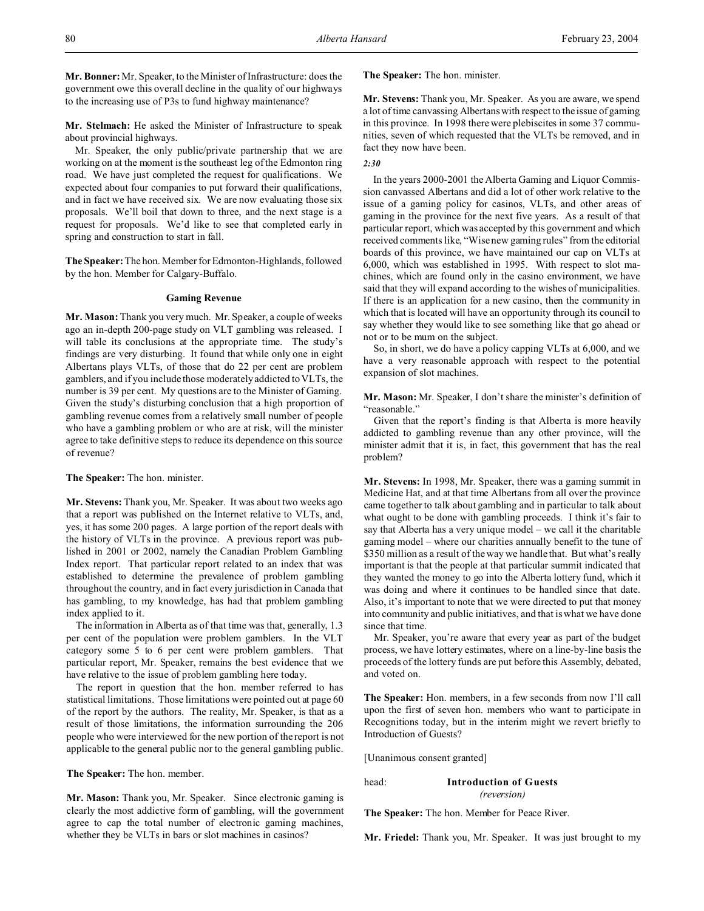**Mr. Bonner:**Mr. Speaker, to the Minister of Infrastructure: does the government owe this overall decline in the quality of our highways to the increasing use of P3s to fund highway maintenance?

**Mr. Stelmach:** He asked the Minister of Infrastructure to speak about provincial highways.

Mr. Speaker, the only public/private partnership that we are working on at the moment is the southeast leg of the Edmonton ring road. We have just completed the request for qualifications. We expected about four companies to put forward their qualifications, and in fact we have received six. We are now evaluating those six proposals. We'll boil that down to three, and the next stage is a request for proposals. We'd like to see that completed early in spring and construction to start in fall.

**The Speaker:** The hon. Member for Edmonton-Highlands, followed by the hon. Member for Calgary-Buffalo.

## **Gaming Revenue**

**Mr. Mason:** Thank you very much. Mr. Speaker, a couple of weeks ago an in-depth 200-page study on VLT gambling was released. I will table its conclusions at the appropriate time. The study's findings are very disturbing. It found that while only one in eight Albertans plays VLTs, of those that do 22 per cent are problem gamblers, and if you include those moderately addicted to VLTs, the number is 39 per cent. My questions are to the Minister of Gaming. Given the study's disturbing conclusion that a high proportion of gambling revenue comes from a relatively small number of people who have a gambling problem or who are at risk, will the minister agree to take definitive steps to reduce its dependence on this source of revenue?

**The Speaker:** The hon. minister.

**Mr. Stevens:** Thank you, Mr. Speaker. It was about two weeks ago that a report was published on the Internet relative to VLTs, and, yes, it has some 200 pages. A large portion of the report deals with the history of VLTs in the province. A previous report was published in 2001 or 2002, namely the Canadian Problem Gambling Index report. That particular report related to an index that was established to determine the prevalence of problem gambling throughout the country, and in fact every jurisdiction in Canada that has gambling, to my knowledge, has had that problem gambling index applied to it.

The information in Alberta as of that time was that, generally, 1.3 per cent of the population were problem gamblers. In the VLT category some 5 to 6 per cent were problem gamblers. That particular report, Mr. Speaker, remains the best evidence that we have relative to the issue of problem gambling here today.

The report in question that the hon. member referred to has statistical limitations. Those limitations were pointed out at page 60 of the report by the authors. The reality, Mr. Speaker, is that as a result of those limitations, the information surrounding the 206 people who were interviewed for the new portion of the report is not applicable to the general public nor to the general gambling public.

**The Speaker:** The hon. member.

**Mr. Mason:** Thank you, Mr. Speaker. Since electronic gaming is clearly the most addictive form of gambling, will the government agree to cap the total number of electronic gaming machines, whether they be VLTs in bars or slot machines in casinos?

**The Speaker:** The hon. minister.

**Mr. Stevens:** Thank you, Mr. Speaker. As you are aware, we spend a lot of time canvassing Albertans with respect to the issue of gaming in this province. In 1998 there were plebiscites in some 37 communities, seven of which requested that the VLTs be removed, and in fact they now have been.

# *2:30*

In the years 2000-2001 the Alberta Gaming and Liquor Commission canvassed Albertans and did a lot of other work relative to the issue of a gaming policy for casinos, VLTs, and other areas of gaming in the province for the next five years. As a result of that particular report, which was accepted by this government and which received comments like, "Wise new gaming rules" from the editorial boards of this province, we have maintained our cap on VLTs at 6,000, which was established in 1995. With respect to slot machines, which are found only in the casino environment, we have said that they will expand according to the wishes of municipalities. If there is an application for a new casino, then the community in which that is located will have an opportunity through its council to say whether they would like to see something like that go ahead or not or to be mum on the subject.

So, in short, we do have a policy capping VLTs at 6,000, and we have a very reasonable approach with respect to the potential expansion of slot machines.

**Mr. Mason:** Mr. Speaker, I don't share the minister's definition of "reasonable."

Given that the report's finding is that Alberta is more heavily addicted to gambling revenue than any other province, will the minister admit that it is, in fact, this government that has the real problem?

**Mr. Stevens:** In 1998, Mr. Speaker, there was a gaming summit in Medicine Hat, and at that time Albertans from all over the province came together to talk about gambling and in particular to talk about what ought to be done with gambling proceeds. I think it's fair to say that Alberta has a very unique model – we call it the charitable gaming model – where our charities annually benefit to the tune of \$350 million as a result of the way we handle that. But what's really important is that the people at that particular summit indicated that they wanted the money to go into the Alberta lottery fund, which it was doing and where it continues to be handled since that date. Also, it's important to note that we were directed to put that money into community and public initiatives, and that is what we have done since that time.

Mr. Speaker, you're aware that every year as part of the budget process, we have lottery estimates, where on a line-by-line basis the proceeds of the lottery funds are put before this Assembly, debated, and voted on.

**The Speaker:** Hon. members, in a few seconds from now I'll call upon the first of seven hon. members who want to participate in Recognitions today, but in the interim might we revert briefly to Introduction of Guests?

[Unanimous consent granted]

head: **Introduction of Guests**

*(reversion)*

**The Speaker:** The hon. Member for Peace River.

**Mr. Friedel:** Thank you, Mr. Speaker. It was just brought to my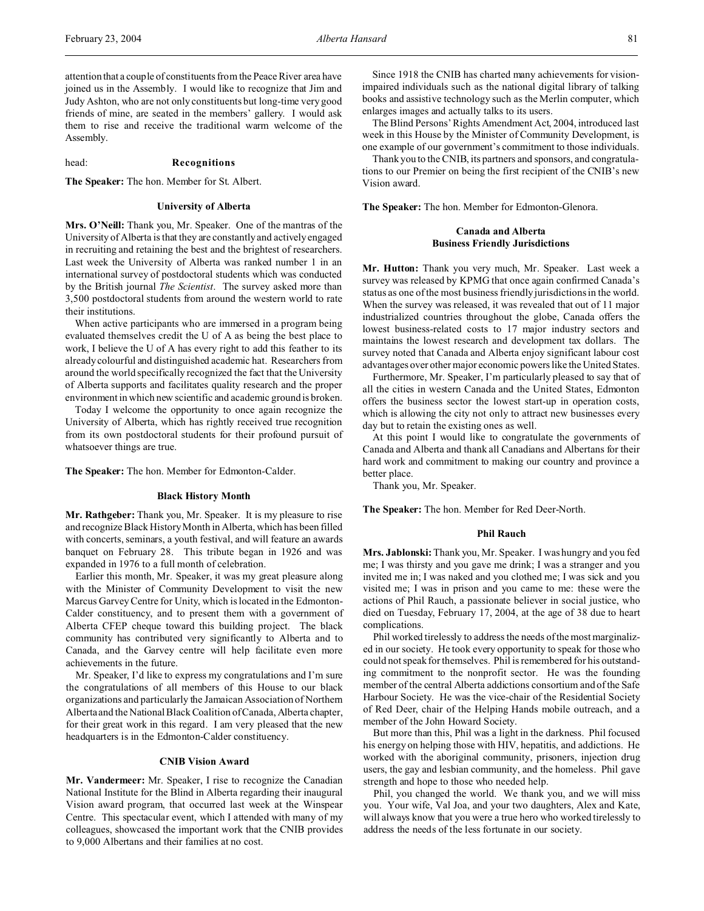attention that a couple of constituents from the Peace River area have joined us in the Assembly. I would like to recognize that Jim and Judy Ashton, who are not only constituents but long-time very good friends of mine, are seated in the members' gallery. I would ask them to rise and receive the traditional warm welcome of the Assembly.

## head: **Recognitions**

**The Speaker:** The hon. Member for St. Albert.

#### **University of Alberta**

**Mrs. O'Neill:** Thank you, Mr. Speaker. One of the mantras of the University of Alberta is that they are constantly and actively engaged in recruiting and retaining the best and the brightest of researchers. Last week the University of Alberta was ranked number 1 in an international survey of postdoctoral students which was conducted by the British journal *The Scientist*. The survey asked more than 3,500 postdoctoral students from around the western world to rate their institutions.

When active participants who are immersed in a program being evaluated themselves credit the U of A as being the best place to work, I believe the U of A has every right to add this feather to its already colourful and distinguished academic hat. Researchers from around the world specifically recognized the fact that the University of Alberta supports and facilitates quality research and the proper environment in which new scientific and academic ground is broken.

Today I welcome the opportunity to once again recognize the University of Alberta, which has rightly received true recognition from its own postdoctoral students for their profound pursuit of whatsoever things are true.

**The Speaker:** The hon. Member for Edmonton-Calder.

## **Black History Month**

**Mr. Rathgeber:** Thank you, Mr. Speaker. It is my pleasure to rise and recognize Black History Month in Alberta, which has been filled with concerts, seminars, a youth festival, and will feature an awards banquet on February 28. This tribute began in 1926 and was expanded in 1976 to a full month of celebration.

Earlier this month, Mr. Speaker, it was my great pleasure along with the Minister of Community Development to visit the new Marcus Garvey Centre for Unity, which is located in the Edmonton-Calder constituency, and to present them with a government of Alberta CFEP cheque toward this building project. The black community has contributed very significantly to Alberta and to Canada, and the Garvey centre will help facilitate even more achievements in the future.

Mr. Speaker, I'd like to express my congratulations and I'm sure the congratulations of all members of this House to our black organizations and particularly the Jamaican Association of Northern Alberta and the National Black Coalition of Canada, Alberta chapter, for their great work in this regard. I am very pleased that the new headquarters is in the Edmonton-Calder constituency.

# **CNIB Vision Award**

**Mr. Vandermeer:** Mr. Speaker, I rise to recognize the Canadian National Institute for the Blind in Alberta regarding their inaugural Vision award program, that occurred last week at the Winspear Centre. This spectacular event, which I attended with many of my colleagues, showcased the important work that the CNIB provides to 9,000 Albertans and their families at no cost.

Since 1918 the CNIB has charted many achievements for visionimpaired individuals such as the national digital library of talking books and assistive technology such as the Merlin computer, which enlarges images and actually talks to its users.

The Blind Persons' Rights Amendment Act, 2004, introduced last week in this House by the Minister of Community Development, is one example of our government's commitment to those individuals.

Thank you to the CNIB, its partners and sponsors, and congratulations to our Premier on being the first recipient of the CNIB's new Vision award.

**The Speaker:** The hon. Member for Edmonton-Glenora.

# **Canada and Alberta Business Friendly Jurisdictions**

**Mr. Hutton:** Thank you very much, Mr. Speaker. Last week a survey was released by KPMG that once again confirmed Canada's status as one of the most business friendly jurisdictions in the world. When the survey was released, it was revealed that out of 11 major industrialized countries throughout the globe, Canada offers the lowest business-related costs to 17 major industry sectors and maintains the lowest research and development tax dollars. The survey noted that Canada and Alberta enjoy significant labour cost advantages over other major economic powers like the United States.

Furthermore, Mr. Speaker, I'm particularly pleased to say that of all the cities in western Canada and the United States, Edmonton offers the business sector the lowest start-up in operation costs, which is allowing the city not only to attract new businesses every day but to retain the existing ones as well.

At this point I would like to congratulate the governments of Canada and Alberta and thank all Canadians and Albertans for their hard work and commitment to making our country and province a better place.

Thank you, Mr. Speaker.

**The Speaker:** The hon. Member for Red Deer-North.

## **Phil Rauch**

**Mrs. Jablonski:** Thank you, Mr. Speaker. I was hungry and you fed me; I was thirsty and you gave me drink; I was a stranger and you invited me in; I was naked and you clothed me; I was sick and you visited me; I was in prison and you came to me: these were the actions of Phil Rauch, a passionate believer in social justice, who died on Tuesday, February 17, 2004, at the age of 38 due to heart complications.

Phil worked tirelessly to address the needs of the most marginalized in our society. He took every opportunity to speak for those who could not speak for themselves. Phil is remembered for his outstanding commitment to the nonprofit sector. He was the founding member of the central Alberta addictions consortium and of the Safe Harbour Society. He was the vice-chair of the Residential Society of Red Deer, chair of the Helping Hands mobile outreach, and a member of the John Howard Society.

But more than this, Phil was a light in the darkness. Phil focused his energy on helping those with HIV, hepatitis, and addictions. He worked with the aboriginal community, prisoners, injection drug users, the gay and lesbian community, and the homeless. Phil gave strength and hope to those who needed help.

Phil, you changed the world. We thank you, and we will miss you. Your wife, Val Joa, and your two daughters, Alex and Kate, will always know that you were a true hero who worked tirelessly to address the needs of the less fortunate in our society.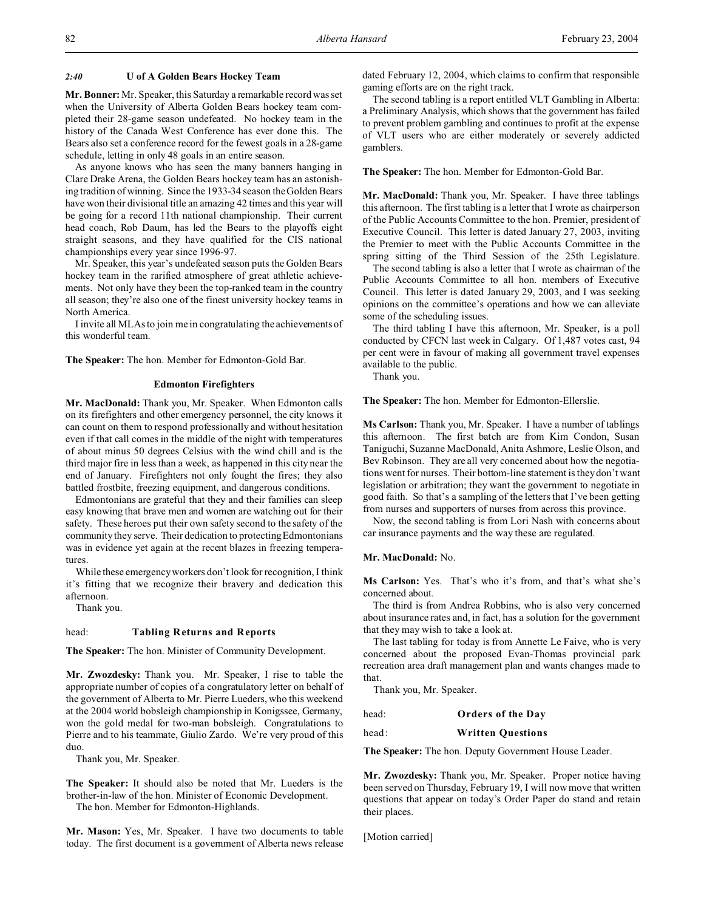## *2:40* **U of A Golden Bears Hockey Team**

**Mr. Bonner:** Mr. Speaker, this Saturday a remarkable record was set when the University of Alberta Golden Bears hockey team completed their 28-game season undefeated. No hockey team in the history of the Canada West Conference has ever done this. The Bears also set a conference record for the fewest goals in a 28-game schedule, letting in only 48 goals in an entire season.

As anyone knows who has seen the many banners hanging in Clare Drake Arena, the Golden Bears hockey team has an astonishing tradition of winning. Since the 1933-34 season the Golden Bears have won their divisional title an amazing 42 times and this year will be going for a record 11th national championship. Their current head coach, Rob Daum, has led the Bears to the playoffs eight straight seasons, and they have qualified for the CIS national championships every year since 1996-97.

Mr. Speaker, this year's undefeated season puts the Golden Bears hockey team in the rarified atmosphere of great athletic achievements. Not only have they been the top-ranked team in the country all season; they're also one of the finest university hockey teams in North America.

I invite all MLAs to join me in congratulating the achievements of this wonderful team.

**The Speaker:** The hon. Member for Edmonton-Gold Bar.

# **Edmonton Firefighters**

**Mr. MacDonald:** Thank you, Mr. Speaker. When Edmonton calls on its firefighters and other emergency personnel, the city knows it can count on them to respond professionally and without hesitation even if that call comes in the middle of the night with temperatures of about minus 50 degrees Celsius with the wind chill and is the third major fire in less than a week, as happened in this city near the end of January. Firefighters not only fought the fires; they also battled frostbite, freezing equipment, and dangerous conditions.

Edmontonians are grateful that they and their families can sleep easy knowing that brave men and women are watching out for their safety. These heroes put their own safety second to the safety of the community they serve. Their dedication to protecting Edmontonians was in evidence yet again at the recent blazes in freezing temperatures.

While these emergency workers don't look for recognition, I think it's fitting that we recognize their bravery and dedication this afternoon.

Thank you.

# head: **Tabling Returns and Reports**

**The Speaker:** The hon. Minister of Community Development.

**Mr. Zwozdesky:** Thank you. Mr. Speaker, I rise to table the appropriate number of copies of a congratulatory letter on behalf of the government of Alberta to Mr. Pierre Lueders, who this weekend at the 2004 world bobsleigh championship in Konigssee, Germany, won the gold medal for two-man bobsleigh. Congratulations to Pierre and to his teammate, Giulio Zardo. We're very proud of this duo.

Thank you, Mr. Speaker.

**The Speaker:** It should also be noted that Mr. Lueders is the brother-in-law of the hon. Minister of Economic Development. The hon. Member for Edmonton-Highlands.

**Mr. Mason:** Yes, Mr. Speaker. I have two documents to table today. The first document is a government of Alberta news release dated February 12, 2004, which claims to confirm that responsible gaming efforts are on the right track.

The second tabling is a report entitled VLT Gambling in Alberta: a Preliminary Analysis, which shows that the government has failed to prevent problem gambling and continues to profit at the expense of VLT users who are either moderately or severely addicted gamblers.

**The Speaker:** The hon. Member for Edmonton-Gold Bar.

**Mr. MacDonald:** Thank you, Mr. Speaker. I have three tablings this afternoon. The first tabling is a letter that I wrote as chairperson of the Public Accounts Committee to the hon. Premier, president of Executive Council. This letter is dated January 27, 2003, inviting the Premier to meet with the Public Accounts Committee in the spring sitting of the Third Session of the 25th Legislature.

The second tabling is also a letter that I wrote as chairman of the Public Accounts Committee to all hon. members of Executive Council. This letter is dated January 29, 2003, and I was seeking opinions on the committee's operations and how we can alleviate some of the scheduling issues.

The third tabling I have this afternoon, Mr. Speaker, is a poll conducted by CFCN last week in Calgary. Of 1,487 votes cast, 94 per cent were in favour of making all government travel expenses available to the public.

Thank you.

**The Speaker:** The hon. Member for Edmonton-Ellerslie.

**Ms Carlson:** Thank you, Mr. Speaker. I have a number of tablings this afternoon. The first batch are from Kim Condon, Susan Taniguchi, Suzanne MacDonald, Anita Ashmore, Leslie Olson, and Bev Robinson. They are all very concerned about how the negotiations went for nurses. Their bottom-line statement is they don't want legislation or arbitration; they want the government to negotiate in good faith. So that's a sampling of the letters that I've been getting from nurses and supporters of nurses from across this province.

Now, the second tabling is from Lori Nash with concerns about car insurance payments and the way these are regulated.

# **Mr. MacDonald:** No.

**Ms Carlson:** Yes. That's who it's from, and that's what she's concerned about.

The third is from Andrea Robbins, who is also very concerned about insurance rates and, in fact, has a solution for the government that they may wish to take a look at.

The last tabling for today is from Annette Le Faive, who is very concerned about the proposed Evan-Thomas provincial park recreation area draft management plan and wants changes made to that.

Thank you, Mr. Speaker.

head: **Orders of the Day**

## head: **Written Questions**

**The Speaker:** The hon. Deputy Government House Leader.

**Mr. Zwozdesky:** Thank you, Mr. Speaker. Proper notice having been served on Thursday, February 19, I will now move that written questions that appear on today's Order Paper do stand and retain their places.

[Motion carried]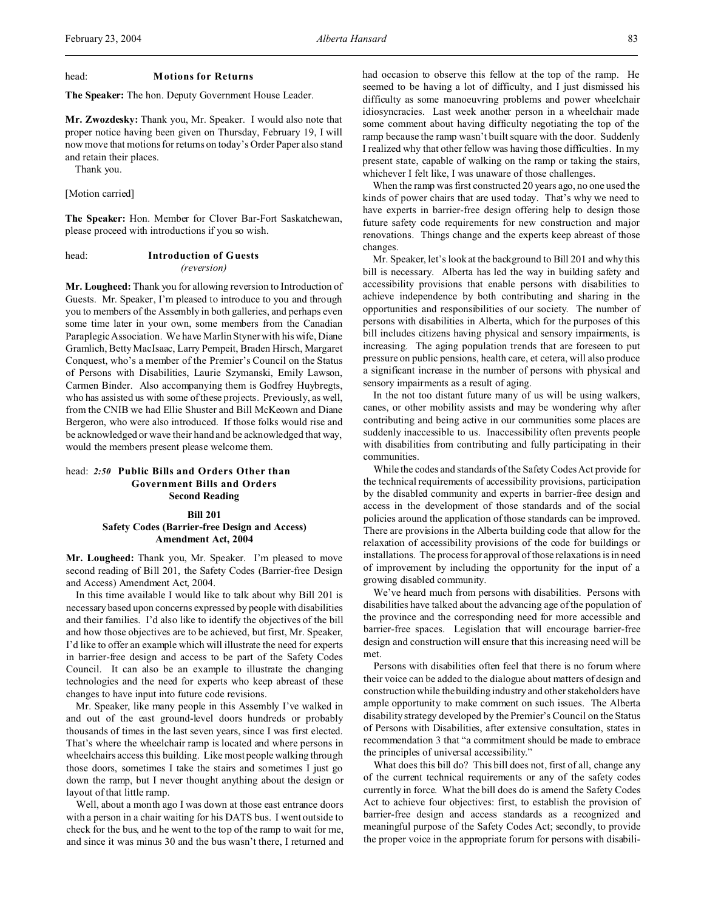#### head: **Motions for Returns**

**The Speaker:** The hon. Deputy Government House Leader.

**Mr. Zwozdesky:** Thank you, Mr. Speaker. I would also note that proper notice having been given on Thursday, February 19, I will now move that motions for returns on today's Order Paper also stand and retain their places.

Thank you.

# [Motion carried]

**The Speaker:** Hon. Member for Clover Bar-Fort Saskatchewan, please proceed with introductions if you so wish.

head: **Introduction of Guests** *(reversion)*

**Mr. Lougheed:** Thank you for allowing reversion to Introduction of Guests. Mr. Speaker, I'm pleased to introduce to you and through you to members of the Assembly in both galleries, and perhaps even some time later in your own, some members from the Canadian Paraplegic Association. We have Marlin Styner with his wife, Diane Gramlich, Betty MacIsaac, Larry Pempeit, Braden Hirsch, Margaret Conquest, who's a member of the Premier's Council on the Status of Persons with Disabilities, Laurie Szymanski, Emily Lawson, Carmen Binder. Also accompanying them is Godfrey Huybregts, who has assisted us with some of these projects. Previously, as well, from the CNIB we had Ellie Shuster and Bill McKeown and Diane Bergeron, who were also introduced. If those folks would rise and be acknowledged or wave their hand and be acknowledged that way, would the members present please welcome them.

# head: *2:50* **Public Bills and Orders Other than Government Bills and Orders Second Reading**

# **Bill 201 Safety Codes (Barrier-free Design and Access) Amendment Act, 2004**

**Mr. Lougheed:** Thank you, Mr. Speaker. I'm pleased to move second reading of Bill 201, the Safety Codes (Barrier-free Design and Access) Amendment Act, 2004.

In this time available I would like to talk about why Bill 201 is necessary based upon concerns expressed by people with disabilities and their families. I'd also like to identify the objectives of the bill and how those objectives are to be achieved, but first, Mr. Speaker, I'd like to offer an example which will illustrate the need for experts in barrier-free design and access to be part of the Safety Codes Council. It can also be an example to illustrate the changing technologies and the need for experts who keep abreast of these changes to have input into future code revisions.

Mr. Speaker, like many people in this Assembly I've walked in and out of the east ground-level doors hundreds or probably thousands of times in the last seven years, since I was first elected. That's where the wheelchair ramp is located and where persons in wheelchairs access this building. Like most people walking through those doors, sometimes I take the stairs and sometimes I just go down the ramp, but I never thought anything about the design or layout of that little ramp.

Well, about a month ago I was down at those east entrance doors with a person in a chair waiting for his DATS bus. I went outside to check for the bus, and he went to the top of the ramp to wait for me, and since it was minus 30 and the bus wasn't there, I returned and

had occasion to observe this fellow at the top of the ramp. He seemed to be having a lot of difficulty, and I just dismissed his difficulty as some manoeuvring problems and power wheelchair idiosyncracies. Last week another person in a wheelchair made some comment about having difficulty negotiating the top of the ramp because the ramp wasn't built square with the door. Suddenly I realized why that other fellow was having those difficulties. In my present state, capable of walking on the ramp or taking the stairs, whichever I felt like, I was unaware of those challenges.

When the ramp was first constructed 20 years ago, no one used the kinds of power chairs that are used today. That's why we need to have experts in barrier-free design offering help to design those future safety code requirements for new construction and major renovations. Things change and the experts keep abreast of those changes.

Mr. Speaker, let's look at the background to Bill 201 and why this bill is necessary. Alberta has led the way in building safety and accessibility provisions that enable persons with disabilities to achieve independence by both contributing and sharing in the opportunities and responsibilities of our society. The number of persons with disabilities in Alberta, which for the purposes of this bill includes citizens having physical and sensory impairments, is increasing. The aging population trends that are foreseen to put pressure on public pensions, health care, et cetera, will also produce a significant increase in the number of persons with physical and sensory impairments as a result of aging.

In the not too distant future many of us will be using walkers, canes, or other mobility assists and may be wondering why after contributing and being active in our communities some places are suddenly inaccessible to us. Inaccessibility often prevents people with disabilities from contributing and fully participating in their communities.

While the codes and standards of the Safety Codes Act provide for the technical requirements of accessibility provisions, participation by the disabled community and experts in barrier-free design and access in the development of those standards and of the social policies around the application of those standards can be improved. There are provisions in the Alberta building code that allow for the relaxation of accessibility provisions of the code for buildings or installations. The process for approval of those relaxations is in need of improvement by including the opportunity for the input of a growing disabled community.

We've heard much from persons with disabilities. Persons with disabilities have talked about the advancing age of the population of the province and the corresponding need for more accessible and barrier-free spaces. Legislation that will encourage barrier-free design and construction will ensure that this increasing need will be met.

Persons with disabilities often feel that there is no forum where their voice can be added to the dialogue about matters of design and construction while the building industry and other stakeholders have ample opportunity to make comment on such issues. The Alberta disability strategy developed by the Premier's Council on the Status of Persons with Disabilities, after extensive consultation, states in recommendation 3 that "a commitment should be made to embrace the principles of universal accessibility."

What does this bill do? This bill does not, first of all, change any of the current technical requirements or any of the safety codes currently in force. What the bill does do is amend the Safety Codes Act to achieve four objectives: first, to establish the provision of barrier-free design and access standards as a recognized and meaningful purpose of the Safety Codes Act; secondly, to provide the proper voice in the appropriate forum for persons with disabili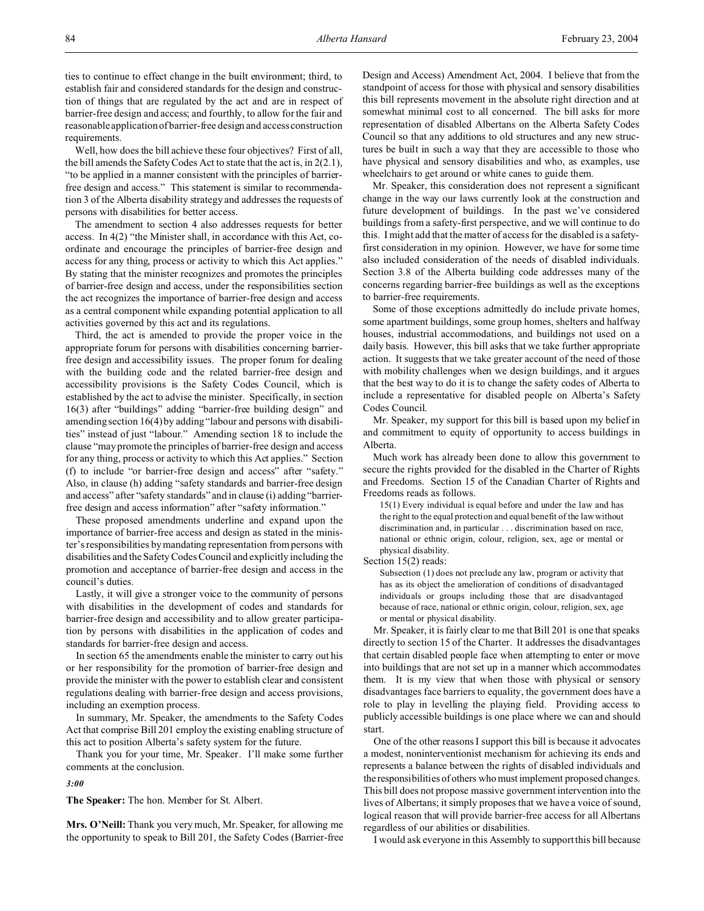ties to continue to effect change in the built environment; third, to establish fair and considered standards for the design and construction of things that are regulated by the act and are in respect of barrier-free design and access; and fourthly, to allow for the fair and reasonable application of barrier-free design and access construction requirements.

Well, how does the bill achieve these four objectives? First of all, the bill amends the Safety Codes Act to state that the act is, in 2(2.1), "to be applied in a manner consistent with the principles of barrierfree design and access." This statement is similar to recommendation 3 of the Alberta disability strategy and addresses the requests of persons with disabilities for better access.

The amendment to section 4 also addresses requests for better access. In 4(2) "the Minister shall, in accordance with this Act, coordinate and encourage the principles of barrier-free design and access for any thing, process or activity to which this Act applies." By stating that the minister recognizes and promotes the principles of barrier-free design and access, under the responsibilities section the act recognizes the importance of barrier-free design and access as a central component while expanding potential application to all activities governed by this act and its regulations.

Third, the act is amended to provide the proper voice in the appropriate forum for persons with disabilities concerning barrierfree design and accessibility issues. The proper forum for dealing with the building code and the related barrier-free design and accessibility provisions is the Safety Codes Council, which is established by the act to advise the minister. Specifically, in section 16(3) after "buildings" adding "barrier-free building design" and amending section 16(4) by adding "labour and persons with disabilities" instead of just "labour." Amending section 18 to include the clause "may promote the principles of barrier-free design and access for any thing, process or activity to which this Act applies." Section (f) to include "or barrier-free design and access" after "safety." Also, in clause (h) adding "safety standards and barrier-free design and access" after "safety standards" and in clause (i) adding "barrierfree design and access information" after "safety information."

These proposed amendments underline and expand upon the importance of barrier-free access and design as stated in the minister's responsibilities by mandating representation from persons with disabilities and the Safety Codes Council and explicitly including the promotion and acceptance of barrier-free design and access in the council's duties.

Lastly, it will give a stronger voice to the community of persons with disabilities in the development of codes and standards for barrier-free design and accessibility and to allow greater participation by persons with disabilities in the application of codes and standards for barrier-free design and access.

In section 65 the amendments enable the minister to carry out his or her responsibility for the promotion of barrier-free design and provide the minister with the power to establish clear and consistent regulations dealing with barrier-free design and access provisions, including an exemption process.

In summary, Mr. Speaker, the amendments to the Safety Codes Act that comprise Bill 201 employ the existing enabling structure of this act to position Alberta's safety system for the future.

Thank you for your time, Mr. Speaker. I'll make some further comments at the conclusion.

*3:00*

**The Speaker:** The hon. Member for St. Albert.

**Mrs. O'Neill:** Thank you very much, Mr. Speaker, for allowing me the opportunity to speak to Bill 201, the Safety Codes (Barrier-free Design and Access) Amendment Act, 2004. I believe that from the standpoint of access for those with physical and sensory disabilities this bill represents movement in the absolute right direction and at somewhat minimal cost to all concerned. The bill asks for more representation of disabled Albertans on the Alberta Safety Codes Council so that any additions to old structures and any new structures be built in such a way that they are accessible to those who have physical and sensory disabilities and who, as examples, use wheelchairs to get around or white canes to guide them.

Mr. Speaker, this consideration does not represent a significant change in the way our laws currently look at the construction and future development of buildings. In the past we've considered buildings from a safety-first perspective, and we will continue to do this. I might add that the matter of access for the disabled is a safetyfirst consideration in my opinion. However, we have for some time also included consideration of the needs of disabled individuals. Section 3.8 of the Alberta building code addresses many of the concerns regarding barrier-free buildings as well as the exceptions to barrier-free requirements.

Some of those exceptions admittedly do include private homes, some apartment buildings, some group homes, shelters and halfway houses, industrial accommodations, and buildings not used on a daily basis. However, this bill asks that we take further appropriate action. It suggests that we take greater account of the need of those with mobility challenges when we design buildings, and it argues that the best way to do it is to change the safety codes of Alberta to include a representative for disabled people on Alberta's Safety Codes Council.

Mr. Speaker, my support for this bill is based upon my belief in and commitment to equity of opportunity to access buildings in Alberta.

Much work has already been done to allow this government to secure the rights provided for the disabled in the Charter of Rights and Freedoms. Section 15 of the Canadian Charter of Rights and Freedoms reads as follows.

15(1) Every individual is equal before and under the law and has the right to the equal protection and equal benefit of the law without discrimination and, in particular . . . discrimination based on race, national or ethnic origin, colour, religion, sex, age or mental or physical disability.

Section 15(2) reads:

Subsection (1) does not preclude any law, program or activity that has as its object the amelioration of conditions of disadvantaged individuals or groups including those that are disadvantaged because of race, national or ethnic origin, colour, religion, sex, age or mental or physical disability.

Mr. Speaker, it is fairly clear to me that Bill 201 is one that speaks directly to section 15 of the Charter. It addresses the disadvantages that certain disabled people face when attempting to enter or move into buildings that are not set up in a manner which accommodates them. It is my view that when those with physical or sensory disadvantages face barriers to equality, the government does have a role to play in levelling the playing field. Providing access to publicly accessible buildings is one place where we can and should start.

One of the other reasons I support this bill is because it advocates a modest, noninterventionist mechanism for achieving its ends and represents a balance between the rights of disabled individuals and the responsibilities of others who must implement proposed changes. This bill does not propose massive government intervention into the lives of Albertans; it simply proposes that we have a voice of sound, logical reason that will provide barrier-free access for all Albertans regardless of our abilities or disabilities.

I would ask everyone in this Assembly to support this bill because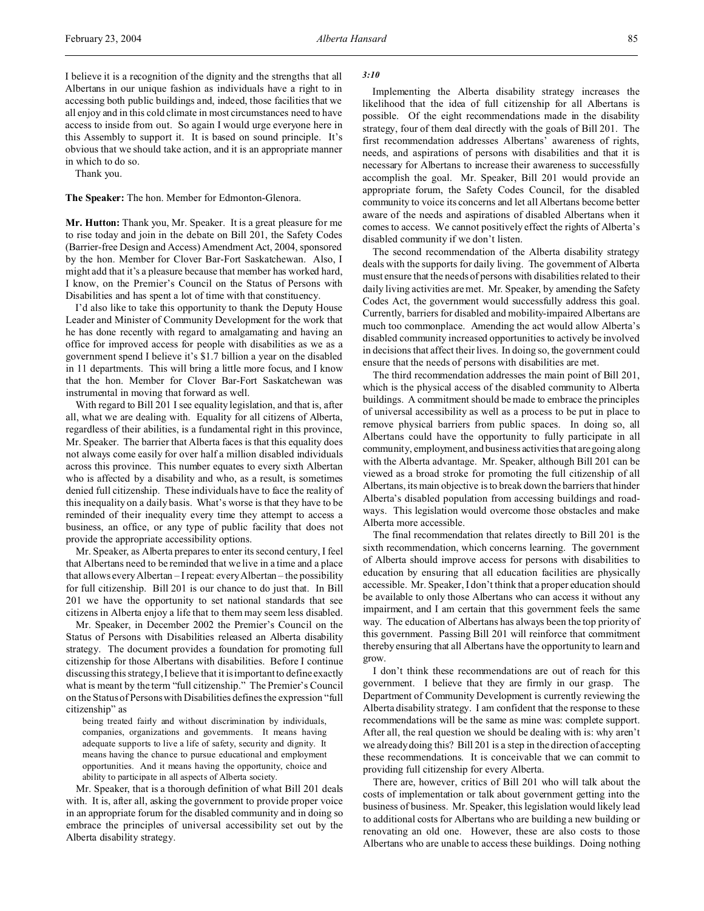I believe it is a recognition of the dignity and the strengths that all Albertans in our unique fashion as individuals have a right to in accessing both public buildings and, indeed, those facilities that we all enjoy and in this cold climate in most circumstances need to have access to inside from out. So again I would urge everyone here in this Assembly to support it. It is based on sound principle. It's obvious that we should take action, and it is an appropriate manner in which to do so.

Thank you.

**The Speaker:** The hon. Member for Edmonton-Glenora.

**Mr. Hutton:** Thank you, Mr. Speaker. It is a great pleasure for me to rise today and join in the debate on Bill 201, the Safety Codes (Barrier-free Design and Access) Amendment Act, 2004, sponsored by the hon. Member for Clover Bar-Fort Saskatchewan. Also, I might add that it's a pleasure because that member has worked hard, I know, on the Premier's Council on the Status of Persons with Disabilities and has spent a lot of time with that constituency.

I'd also like to take this opportunity to thank the Deputy House Leader and Minister of Community Development for the work that he has done recently with regard to amalgamating and having an office for improved access for people with disabilities as we as a government spend I believe it's \$1.7 billion a year on the disabled in 11 departments. This will bring a little more focus, and I know that the hon. Member for Clover Bar-Fort Saskatchewan was instrumental in moving that forward as well.

With regard to Bill 201 I see equality legislation, and that is, after all, what we are dealing with. Equality for all citizens of Alberta, regardless of their abilities, is a fundamental right in this province, Mr. Speaker. The barrier that Alberta faces is that this equality does not always come easily for over half a million disabled individuals across this province. This number equates to every sixth Albertan who is affected by a disability and who, as a result, is sometimes denied full citizenship. These individuals have to face the reality of this inequality on a daily basis. What's worse is that they have to be reminded of their inequality every time they attempt to access a business, an office, or any type of public facility that does not provide the appropriate accessibility options.

Mr. Speaker, as Alberta prepares to enter its second century, I feel that Albertans need to be reminded that we live in a time and a place that allows every Albertan – I repeat: every Albertan – the possibility for full citizenship. Bill 201 is our chance to do just that. In Bill 201 we have the opportunity to set national standards that see citizens in Alberta enjoy a life that to them may seem less disabled.

Mr. Speaker, in December 2002 the Premier's Council on the Status of Persons with Disabilities released an Alberta disability strategy. The document provides a foundation for promoting full citizenship for those Albertans with disabilities. Before I continue discussing this strategy, I believe that it is important to define exactly what is meant by the term "full citizenship." The Premier's Council on the Status of Persons with Disabilities defines the expression "full citizenship" as

being treated fairly and without discrimination by individuals, companies, organizations and governments. It means having adequate supports to live a life of safety, security and dignity. It means having the chance to pursue educational and employment opportunities. And it means having the opportunity, choice and ability to participate in all aspects of Alberta society.

Mr. Speaker, that is a thorough definition of what Bill 201 deals with. It is, after all, asking the government to provide proper voice in an appropriate forum for the disabled community and in doing so embrace the principles of universal accessibility set out by the Alberta disability strategy.

*3:10*

Implementing the Alberta disability strategy increases the likelihood that the idea of full citizenship for all Albertans is possible. Of the eight recommendations made in the disability strategy, four of them deal directly with the goals of Bill 201. The first recommendation addresses Albertans' awareness of rights, needs, and aspirations of persons with disabilities and that it is necessary for Albertans to increase their awareness to successfully accomplish the goal. Mr. Speaker, Bill 201 would provide an appropriate forum, the Safety Codes Council, for the disabled community to voice its concerns and let all Albertans become better aware of the needs and aspirations of disabled Albertans when it comes to access. We cannot positively effect the rights of Alberta's disabled community if we don't listen.

The second recommendation of the Alberta disability strategy deals with the supports for daily living. The government of Alberta must ensure that the needs of persons with disabilities related to their daily living activities are met. Mr. Speaker, by amending the Safety Codes Act, the government would successfully address this goal. Currently, barriers for disabled and mobility-impaired Albertans are much too commonplace. Amending the act would allow Alberta's disabled community increased opportunities to actively be involved in decisions that affect their lives. In doing so, the government could ensure that the needs of persons with disabilities are met.

The third recommendation addresses the main point of Bill 201, which is the physical access of the disabled community to Alberta buildings. A commitment should be made to embrace the principles of universal accessibility as well as a process to be put in place to remove physical barriers from public spaces. In doing so, all Albertans could have the opportunity to fully participate in all community, employment, and business activities that are going along with the Alberta advantage. Mr. Speaker, although Bill 201 can be viewed as a broad stroke for promoting the full citizenship of all Albertans, its main objective is to break down the barriers that hinder Alberta's disabled population from accessing buildings and roadways. This legislation would overcome those obstacles and make Alberta more accessible.

The final recommendation that relates directly to Bill 201 is the sixth recommendation, which concerns learning. The government of Alberta should improve access for persons with disabilities to education by ensuring that all education facilities are physically accessible. Mr. Speaker, I don't think that a proper education should be available to only those Albertans who can access it without any impairment, and I am certain that this government feels the same way. The education of Albertans has always been the top priority of this government. Passing Bill 201 will reinforce that commitment thereby ensuring that all Albertans have the opportunity to learn and grow.

I don't think these recommendations are out of reach for this government. I believe that they are firmly in our grasp. The Department of Community Development is currently reviewing the Alberta disability strategy. I am confident that the response to these recommendations will be the same as mine was: complete support. After all, the real question we should be dealing with is: why aren't we already doing this? Bill 201 is a step in the direction of accepting these recommendations. It is conceivable that we can commit to providing full citizenship for every Alberta.

There are, however, critics of Bill 201 who will talk about the costs of implementation or talk about government getting into the business of business. Mr. Speaker, this legislation would likely lead to additional costs for Albertans who are building a new building or renovating an old one. However, these are also costs to those Albertans who are unable to access these buildings. Doing nothing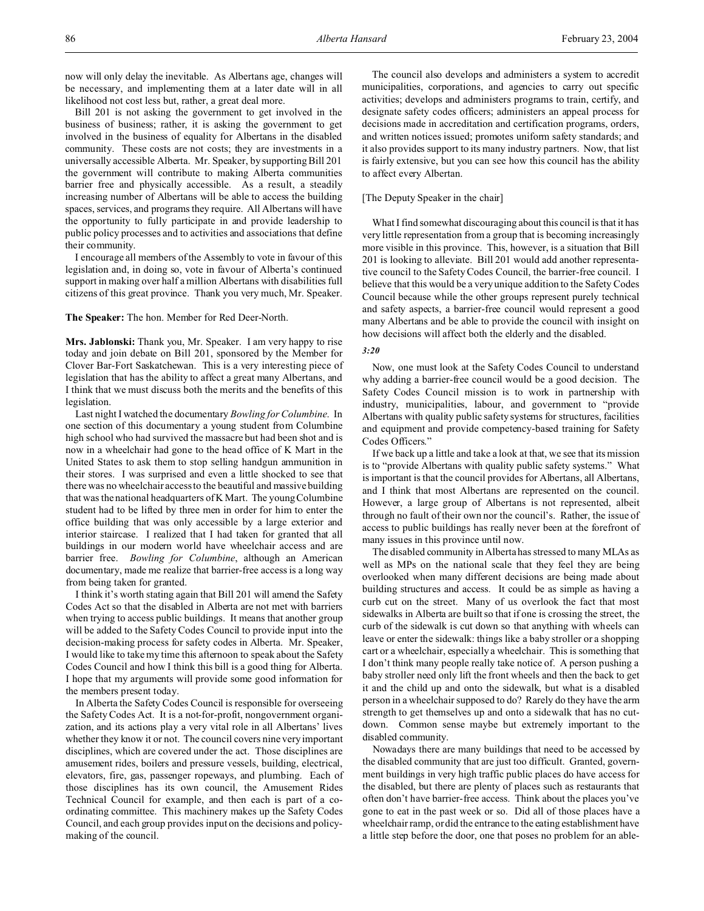now will only delay the inevitable. As Albertans age, changes will be necessary, and implementing them at a later date will in all likelihood not cost less but, rather, a great deal more.

Bill 201 is not asking the government to get involved in the business of business; rather, it is asking the government to get involved in the business of equality for Albertans in the disabled community. These costs are not costs; they are investments in a universally accessible Alberta. Mr. Speaker, by supporting Bill 201 the government will contribute to making Alberta communities barrier free and physically accessible. As a result, a steadily increasing number of Albertans will be able to access the building spaces, services, and programs they require. All Albertans will have the opportunity to fully participate in and provide leadership to public policy processes and to activities and associations that define their community.

I encourage all members of the Assembly to vote in favour of this legislation and, in doing so, vote in favour of Alberta's continued support in making over half a million Albertans with disabilities full citizens of this great province. Thank you very much, Mr. Speaker.

**The Speaker:** The hon. Member for Red Deer-North.

**Mrs. Jablonski:** Thank you, Mr. Speaker. I am very happy to rise today and join debate on Bill 201, sponsored by the Member for Clover Bar-Fort Saskatchewan. This is a very interesting piece of legislation that has the ability to affect a great many Albertans, and I think that we must discuss both the merits and the benefits of this legislation.

Last night I watched the documentary *Bowling for Columbine*. In one section of this documentary a young student from Columbine high school who had survived the massacre but had been shot and is now in a wheelchair had gone to the head office of K Mart in the United States to ask them to stop selling handgun ammunition in their stores. I was surprised and even a little shocked to see that there was no wheelchair access to the beautiful and massive building that was the national headquarters of K Mart. The young Columbine student had to be lifted by three men in order for him to enter the office building that was only accessible by a large exterior and interior staircase. I realized that I had taken for granted that all buildings in our modern world have wheelchair access and are barrier free. *Bowling for Columbine*, although an American documentary, made me realize that barrier-free access is a long way from being taken for granted.

I think it's worth stating again that Bill 201 will amend the Safety Codes Act so that the disabled in Alberta are not met with barriers when trying to access public buildings. It means that another group will be added to the Safety Codes Council to provide input into the decision-making process for safety codes in Alberta. Mr. Speaker, I would like to take my time this afternoon to speak about the Safety Codes Council and how I think this bill is a good thing for Alberta. I hope that my arguments will provide some good information for the members present today.

In Alberta the Safety Codes Council is responsible for overseeing the Safety Codes Act. It is a not-for-profit, nongovernment organization, and its actions play a very vital role in all Albertans' lives whether they know it or not. The council covers nine very important disciplines, which are covered under the act. Those disciplines are amusement rides, boilers and pressure vessels, building, electrical, elevators, fire, gas, passenger ropeways, and plumbing. Each of those disciplines has its own council, the Amusement Rides Technical Council for example, and then each is part of a coordinating committee. This machinery makes up the Safety Codes Council, and each group provides input on the decisions and policymaking of the council.

The council also develops and administers a system to accredit municipalities, corporations, and agencies to carry out specific activities; develops and administers programs to train, certify, and designate safety codes officers; administers an appeal process for decisions made in accreditation and certification programs, orders, and written notices issued; promotes uniform safety standards; and it also provides support to its many industry partners. Now, that list is fairly extensive, but you can see how this council has the ability to affect every Albertan.

## [The Deputy Speaker in the chair]

What I find somewhat discouraging about this council is that it has very little representation from a group that is becoming increasingly more visible in this province. This, however, is a situation that Bill 201 is looking to alleviate. Bill 201 would add another representative council to the Safety Codes Council, the barrier-free council. I believe that this would be a very unique addition to the Safety Codes Council because while the other groups represent purely technical and safety aspects, a barrier-free council would represent a good many Albertans and be able to provide the council with insight on how decisions will affect both the elderly and the disabled.

## *3:20*

Now, one must look at the Safety Codes Council to understand why adding a barrier-free council would be a good decision. The Safety Codes Council mission is to work in partnership with industry, municipalities, labour, and government to "provide Albertans with quality public safety systems for structures, facilities and equipment and provide competency-based training for Safety Codes Officers."

If we back up a little and take a look at that, we see that its mission is to "provide Albertans with quality public safety systems." What is important is that the council provides for Albertans, all Albertans, and I think that most Albertans are represented on the council. However, a large group of Albertans is not represented, albeit through no fault of their own nor the council's. Rather, the issue of access to public buildings has really never been at the forefront of many issues in this province until now.

The disabled community in Alberta has stressed to many MLAs as well as MPs on the national scale that they feel they are being overlooked when many different decisions are being made about building structures and access. It could be as simple as having a curb cut on the street. Many of us overlook the fact that most sidewalks in Alberta are built so that if one is crossing the street, the curb of the sidewalk is cut down so that anything with wheels can leave or enter the sidewalk: things like a baby stroller or a shopping cart or a wheelchair, especially a wheelchair. This is something that I don't think many people really take notice of. A person pushing a baby stroller need only lift the front wheels and then the back to get it and the child up and onto the sidewalk, but what is a disabled person in a wheelchair supposed to do? Rarely do they have the arm strength to get themselves up and onto a sidewalk that has no cutdown. Common sense maybe but extremely important to the disabled community.

Nowadays there are many buildings that need to be accessed by the disabled community that are just too difficult. Granted, government buildings in very high traffic public places do have access for the disabled, but there are plenty of places such as restaurants that often don't have barrier-free access. Think about the places you've gone to eat in the past week or so. Did all of those places have a wheelchair ramp, or did the entrance to the eating establishment have a little step before the door, one that poses no problem for an able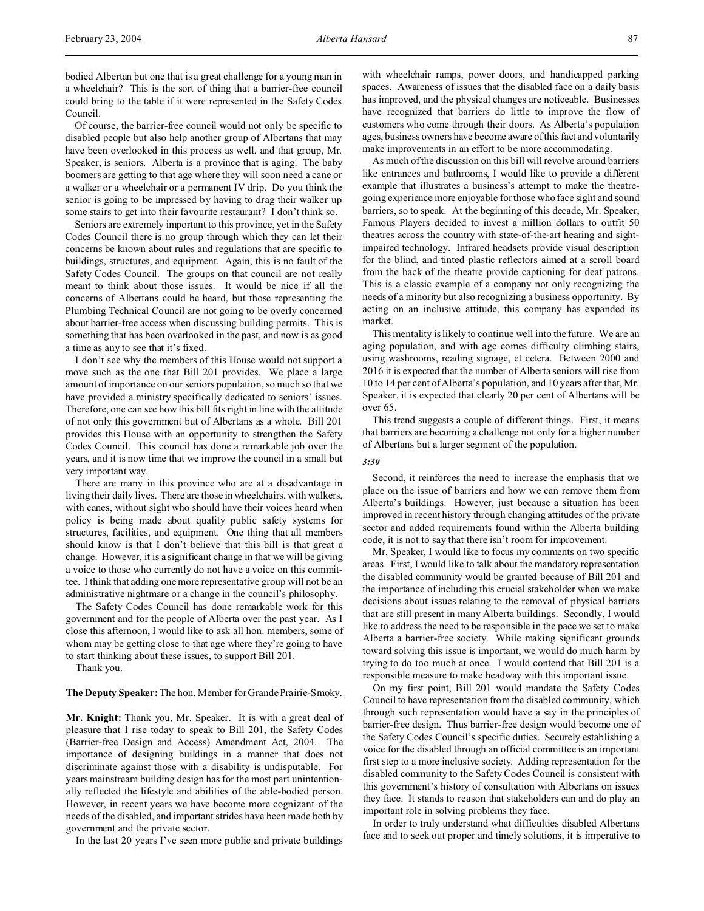bodied Albertan but one that is a great challenge for a young man in a wheelchair? This is the sort of thing that a barrier-free council could bring to the table if it were represented in the Safety Codes Council.

Of course, the barrier-free council would not only be specific to disabled people but also help another group of Albertans that may have been overlooked in this process as well, and that group, Mr. Speaker, is seniors. Alberta is a province that is aging. The baby boomers are getting to that age where they will soon need a cane or a walker or a wheelchair or a permanent IV drip. Do you think the senior is going to be impressed by having to drag their walker up some stairs to get into their favourite restaurant? I don't think so.

Seniors are extremely important to this province, yet in the Safety Codes Council there is no group through which they can let their concerns be known about rules and regulations that are specific to buildings, structures, and equipment. Again, this is no fault of the Safety Codes Council. The groups on that council are not really meant to think about those issues. It would be nice if all the concerns of Albertans could be heard, but those representing the Plumbing Technical Council are not going to be overly concerned about barrier-free access when discussing building permits. This is something that has been overlooked in the past, and now is as good a time as any to see that it's fixed.

I don't see why the members of this House would not support a move such as the one that Bill 201 provides. We place a large amount of importance on our seniors population, so much so that we have provided a ministry specifically dedicated to seniors' issues. Therefore, one can see how this bill fits right in line with the attitude of not only this government but of Albertans as a whole. Bill 201 provides this House with an opportunity to strengthen the Safety Codes Council. This council has done a remarkable job over the years, and it is now time that we improve the council in a small but very important way.

There are many in this province who are at a disadvantage in living their daily lives. There are those in wheelchairs, with walkers, with canes, without sight who should have their voices heard when policy is being made about quality public safety systems for structures, facilities, and equipment. One thing that all members should know is that I don't believe that this bill is that great a change. However, it is a significant change in that we will be giving a voice to those who currently do not have a voice on this committee. I think that adding one more representative group will not be an administrative nightmare or a change in the council's philosophy.

The Safety Codes Council has done remarkable work for this government and for the people of Alberta over the past year. As I close this afternoon, I would like to ask all hon. members, some of whom may be getting close to that age where they're going to have to start thinking about these issues, to support Bill 201.

Thank you.

# **The Deputy Speaker:** The hon. Member for Grande Prairie-Smoky.

**Mr. Knight:** Thank you, Mr. Speaker. It is with a great deal of pleasure that I rise today to speak to Bill 201, the Safety Codes (Barrier-free Design and Access) Amendment Act, 2004. The importance of designing buildings in a manner that does not discriminate against those with a disability is undisputable. For years mainstream building design has for the most part unintentionally reflected the lifestyle and abilities of the able-bodied person. However, in recent years we have become more cognizant of the needs of the disabled, and important strides have been made both by government and the private sector.

In the last 20 years I've seen more public and private buildings

with wheelchair ramps, power doors, and handicapped parking spaces. Awareness of issues that the disabled face on a daily basis has improved, and the physical changes are noticeable. Businesses have recognized that barriers do little to improve the flow of customers who come through their doors. As Alberta's population ages, business owners have become aware of this fact and voluntarily make improvements in an effort to be more accommodating.

As much of the discussion on this bill will revolve around barriers like entrances and bathrooms, I would like to provide a different example that illustrates a business's attempt to make the theatregoing experience more enjoyable for those who face sight and sound barriers, so to speak. At the beginning of this decade, Mr. Speaker, Famous Players decided to invest a million dollars to outfit 50 theatres across the country with state-of-the-art hearing and sightimpaired technology. Infrared headsets provide visual description for the blind, and tinted plastic reflectors aimed at a scroll board from the back of the theatre provide captioning for deaf patrons. This is a classic example of a company not only recognizing the needs of a minority but also recognizing a business opportunity. By acting on an inclusive attitude, this company has expanded its market.

This mentality is likely to continue well into the future. We are an aging population, and with age comes difficulty climbing stairs, using washrooms, reading signage, et cetera. Between 2000 and 2016 it is expected that the number of Alberta seniors will rise from 10 to 14 per cent of Alberta's population, and 10 years after that, Mr. Speaker, it is expected that clearly 20 per cent of Albertans will be over 65.

This trend suggests a couple of different things. First, it means that barriers are becoming a challenge not only for a higher number of Albertans but a larger segment of the population.

#### *3:30*

Second, it reinforces the need to increase the emphasis that we place on the issue of barriers and how we can remove them from Alberta's buildings. However, just because a situation has been improved in recent history through changing attitudes of the private sector and added requirements found within the Alberta building code, it is not to say that there isn't room for improvement.

Mr. Speaker, I would like to focus my comments on two specific areas. First, I would like to talk about the mandatory representation the disabled community would be granted because of Bill 201 and the importance of including this crucial stakeholder when we make decisions about issues relating to the removal of physical barriers that are still present in many Alberta buildings. Secondly, I would like to address the need to be responsible in the pace we set to make Alberta a barrier-free society. While making significant grounds toward solving this issue is important, we would do much harm by trying to do too much at once. I would contend that Bill 201 is a responsible measure to make headway with this important issue.

On my first point, Bill 201 would mandate the Safety Codes Council to have representation from the disabled community, which through such representation would have a say in the principles of barrier-free design. Thus barrier-free design would become one of the Safety Codes Council's specific duties. Securely establishing a voice for the disabled through an official committee is an important first step to a more inclusive society. Adding representation for the disabled community to the Safety Codes Council is consistent with this government's history of consultation with Albertans on issues they face. It stands to reason that stakeholders can and do play an important role in solving problems they face.

In order to truly understand what difficulties disabled Albertans face and to seek out proper and timely solutions, it is imperative to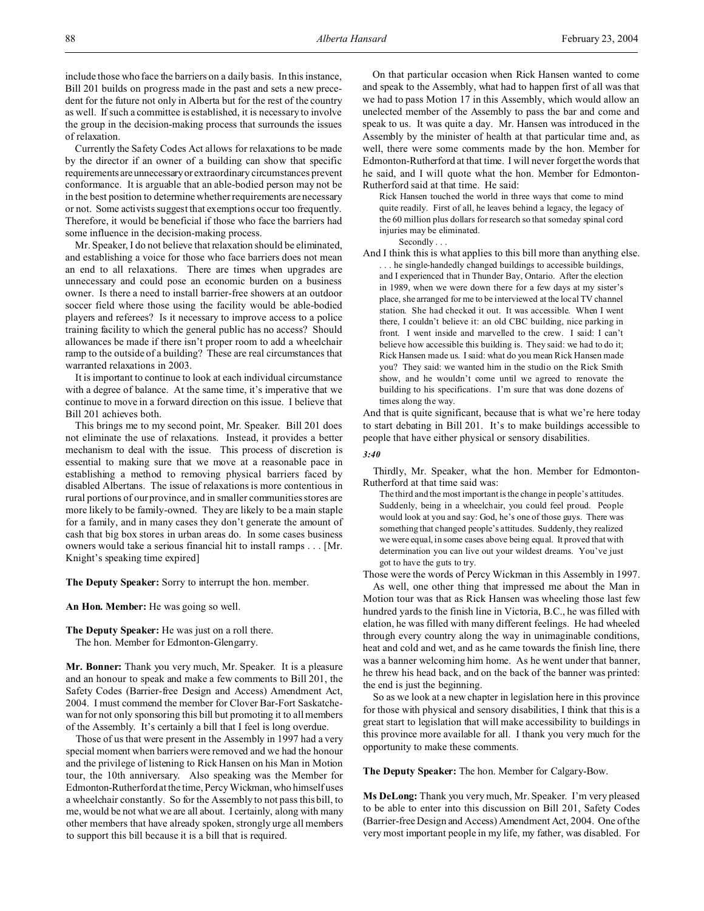include those who face the barriers on a daily basis. In this instance, Bill 201 builds on progress made in the past and sets a new precedent for the future not only in Alberta but for the rest of the country as well. If such a committee is established, it is necessary to involve the group in the decision-making process that surrounds the issues of relaxation.

Currently the Safety Codes Act allows for relaxations to be made by the director if an owner of a building can show that specific requirements areunnecessaryor extraordinary circumstances prevent conformance. It is arguable that an able-bodied person may not be in the best position to determine whether requirements are necessary or not. Some activists suggest that exemptions occur too frequently. Therefore, it would be beneficial if those who face the barriers had some influence in the decision-making process.

Mr. Speaker, I do not believe that relaxation should be eliminated, and establishing a voice for those who face barriers does not mean an end to all relaxations. There are times when upgrades are unnecessary and could pose an economic burden on a business owner. Is there a need to install barrier-free showers at an outdoor soccer field where those using the facility would be able-bodied players and referees? Is it necessary to improve access to a police training facility to which the general public has no access? Should allowances be made if there isn't proper room to add a wheelchair ramp to the outside of a building? These are real circumstances that warranted relaxations in 2003.

It is important to continue to look at each individual circumstance with a degree of balance. At the same time, it's imperative that we continue to move in a forward direction on this issue. I believe that Bill 201 achieves both.

This brings me to my second point, Mr. Speaker. Bill 201 does not eliminate the use of relaxations. Instead, it provides a better mechanism to deal with the issue. This process of discretion is essential to making sure that we move at a reasonable pace in establishing a method to removing physical barriers faced by disabled Albertans. The issue of relaxations is more contentious in rural portions of our province, and in smaller communities stores are more likely to be family-owned. They are likely to be a main staple for a family, and in many cases they don't generate the amount of cash that big box stores in urban areas do. In some cases business owners would take a serious financial hit to install ramps . . . [Mr. Knight's speaking time expired]

**The Deputy Speaker:** Sorry to interrupt the hon. member.

**An Hon. Member:** He was going so well.

**The Deputy Speaker:** He was just on a roll there. The hon. Member for Edmonton-Glengarry.

**Mr. Bonner:** Thank you very much, Mr. Speaker. It is a pleasure and an honour to speak and make a few comments to Bill 201, the Safety Codes (Barrier-free Design and Access) Amendment Act, 2004. I must commend the member for Clover Bar-Fort Saskatchewan for not only sponsoring this bill but promoting it to all members of the Assembly. It's certainly a bill that I feel is long overdue.

Those of us that were present in the Assembly in 1997 had a very special moment when barriers were removed and we had the honour and the privilege of listening to Rick Hansen on his Man in Motion tour, the 10th anniversary. Also speaking was the Member for Edmonton-Rutherford at the time, Percy Wickman, who himself uses a wheelchair constantly. So for the Assembly to not pass this bill, to me, would be not what we are all about. I certainly, along with many other members that have already spoken, strongly urge all members to support this bill because it is a bill that is required.

On that particular occasion when Rick Hansen wanted to come and speak to the Assembly, what had to happen first of all was that we had to pass Motion 17 in this Assembly, which would allow an unelected member of the Assembly to pass the bar and come and speak to us. It was quite a day. Mr. Hansen was introduced in the Assembly by the minister of health at that particular time and, as well, there were some comments made by the hon. Member for Edmonton-Rutherford at that time. I will never forget the words that he said, and I will quote what the hon. Member for Edmonton-Rutherford said at that time. He said:

Rick Hansen touched the world in three ways that come to mind quite readily. First of all, he leaves behind a legacy, the legacy of the 60 million plus dollars for research so that someday spinal cord injuries may be eliminated.

Secondly . . .

And I think this is what applies to this bill more than anything else. . . . he single-handedly changed buildings to accessible buildings, and I experienced that in Thunder Bay, Ontario. After the election in 1989, when we were down there for a few days at my sister's place, she arranged for me to be interviewed at the local TV channel station. She had checked it out. It was accessible. When I went there, I couldn't believe it: an old CBC building, nice parking in front. I went inside and marvelled to the crew. I said: I can't believe how accessible this building is. They said: we had to do it; Rick Hansen made us. I said: what do you mean Rick Hansen made you? They said: we wanted him in the studio on the Rick Smith show, and he wouldn't come until we agreed to renovate the building to his specifications. I'm sure that was done dozens of times along the way.

And that is quite significant, because that is what we're here today to start debating in Bill 201. It's to make buildings accessible to people that have either physical or sensory disabilities.

## *3:40*

Thirdly, Mr. Speaker, what the hon. Member for Edmonton-Rutherford at that time said was:

The third and the most important is the change in people's attitudes. Suddenly, being in a wheelchair, you could feel proud. People would look at you and say: God, he's one of those guys. There was something that changed people's attitudes. Suddenly, they realized we were equal, in some cases above being equal. It proved that with determination you can live out your wildest dreams. You've just got to have the guts to try.

Those were the words of Percy Wickman in this Assembly in 1997.

As well, one other thing that impressed me about the Man in Motion tour was that as Rick Hansen was wheeling those last few hundred yards to the finish line in Victoria, B.C., he was filled with elation, he was filled with many different feelings. He had wheeled through every country along the way in unimaginable conditions, heat and cold and wet, and as he came towards the finish line, there was a banner welcoming him home. As he went under that banner, he threw his head back, and on the back of the banner was printed: the end is just the beginning.

So as we look at a new chapter in legislation here in this province for those with physical and sensory disabilities, I think that this is a great start to legislation that will make accessibility to buildings in this province more available for all. I thank you very much for the opportunity to make these comments.

**The Deputy Speaker:** The hon. Member for Calgary-Bow.

**Ms DeLong:** Thank you very much, Mr. Speaker. I'm very pleased to be able to enter into this discussion on Bill 201, Safety Codes (Barrier-free Design and Access) Amendment Act, 2004. One of the very most important people in my life, my father, was disabled. For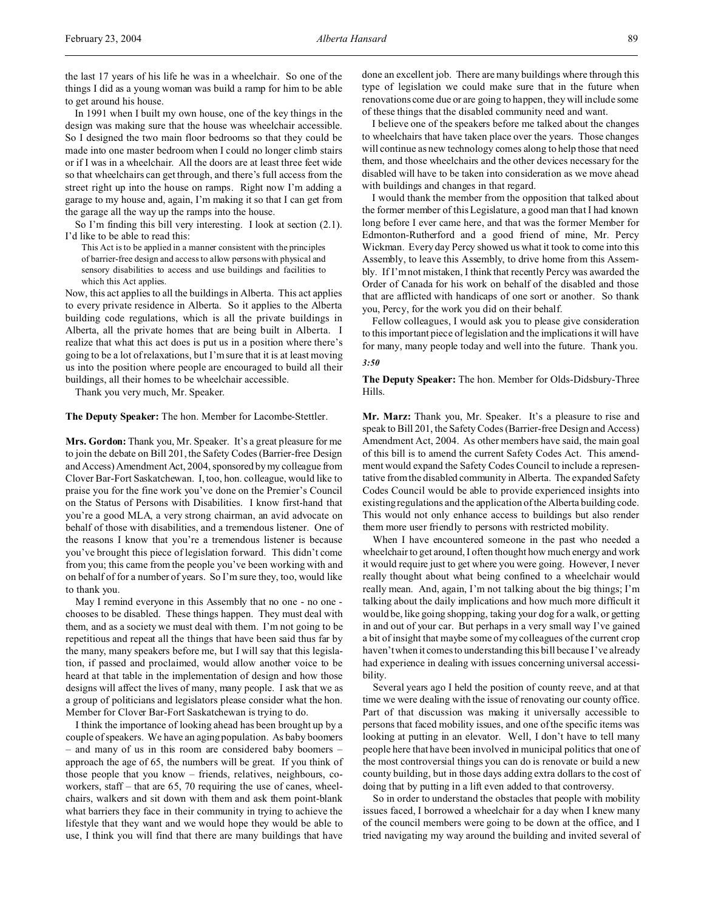In 1991 when I built my own house, one of the key things in the design was making sure that the house was wheelchair accessible. So I designed the two main floor bedrooms so that they could be made into one master bedroom when I could no longer climb stairs or if I was in a wheelchair. All the doors are at least three feet wide so that wheelchairs can get through, and there's full access from the street right up into the house on ramps. Right now I'm adding a garage to my house and, again, I'm making it so that I can get from the garage all the way up the ramps into the house.

So I'm finding this bill very interesting. I look at section (2.1). I'd like to be able to read this:

This Act is to be applied in a manner consistent with the principles of barrier-free design and access to allow persons with physical and sensory disabilities to access and use buildings and facilities to which this Act applies.

Now, this act applies to all the buildings in Alberta. This act applies to every private residence in Alberta. So it applies to the Alberta building code regulations, which is all the private buildings in Alberta, all the private homes that are being built in Alberta. I realize that what this act does is put us in a position where there's going to be a lot of relaxations, but I'm sure that it is at least moving us into the position where people are encouraged to build all their buildings, all their homes to be wheelchair accessible.

Thank you very much, Mr. Speaker.

**The Deputy Speaker:** The hon. Member for Lacombe-Stettler.

**Mrs. Gordon:** Thank you, Mr. Speaker. It's a great pleasure for me to join the debate on Bill 201, the Safety Codes (Barrier-free Design and Access) Amendment Act, 2004, sponsored by my colleague from Clover Bar-Fort Saskatchewan. I, too, hon. colleague, would like to praise you for the fine work you've done on the Premier's Council on the Status of Persons with Disabilities. I know first-hand that you're a good MLA, a very strong chairman, an avid advocate on behalf of those with disabilities, and a tremendous listener. One of the reasons I know that you're a tremendous listener is because you've brought this piece of legislation forward. This didn't come from you; this came from the people you've been working with and on behalf of for a number of years. So I'm sure they, too, would like to thank you.

May I remind everyone in this Assembly that no one - no one chooses to be disabled. These things happen. They must deal with them, and as a society we must deal with them. I'm not going to be repetitious and repeat all the things that have been said thus far by the many, many speakers before me, but I will say that this legislation, if passed and proclaimed, would allow another voice to be heard at that table in the implementation of design and how those designs will affect the lives of many, many people. I ask that we as a group of politicians and legislators please consider what the hon. Member for Clover Bar-Fort Saskatchewan is trying to do.

I think the importance of looking ahead has been brought up by a couple of speakers. We have an aging population. As baby boomers – and many of us in this room are considered baby boomers – approach the age of 65, the numbers will be great. If you think of those people that you know – friends, relatives, neighbours, coworkers, staff – that are 65, 70 requiring the use of canes, wheelchairs, walkers and sit down with them and ask them point-blank what barriers they face in their community in trying to achieve the lifestyle that they want and we would hope they would be able to use, I think you will find that there are many buildings that have

done an excellent job. There are many buildings where through this type of legislation we could make sure that in the future when renovations come due or are going to happen, they will include some of these things that the disabled community need and want.

I believe one of the speakers before me talked about the changes to wheelchairs that have taken place over the years. Those changes will continue as new technology comes along to help those that need them, and those wheelchairs and the other devices necessary for the disabled will have to be taken into consideration as we move ahead with buildings and changes in that regard.

I would thank the member from the opposition that talked about the former member of this Legislature, a good man that I had known long before I ever came here, and that was the former Member for Edmonton-Rutherford and a good friend of mine, Mr. Percy Wickman. Every day Percy showed us what it took to come into this Assembly, to leave this Assembly, to drive home from this Assembly. If I'm not mistaken, I think that recently Percy was awarded the Order of Canada for his work on behalf of the disabled and those that are afflicted with handicaps of one sort or another. So thank you, Percy, for the work you did on their behalf.

Fellow colleagues, I would ask you to please give consideration to this important piece of legislation and the implications it will have for many, many people today and well into the future. Thank you. *3:50*

# **The Deputy Speaker:** The hon. Member for Olds-Didsbury-Three Hills.

**Mr. Marz:** Thank you, Mr. Speaker. It's a pleasure to rise and speak to Bill 201, the Safety Codes (Barrier-free Design and Access) Amendment Act, 2004. As other members have said, the main goal of this bill is to amend the current Safety Codes Act. This amendment would expand the Safety Codes Council to include a representative from the disabled community in Alberta. The expanded Safety Codes Council would be able to provide experienced insights into existing regulations and the application of the Alberta building code. This would not only enhance access to buildings but also render them more user friendly to persons with restricted mobility.

When I have encountered someone in the past who needed a wheelchair to get around, I often thought how much energy and work it would require just to get where you were going. However, I never really thought about what being confined to a wheelchair would really mean. And, again, I'm not talking about the big things; I'm talking about the daily implications and how much more difficult it would be, like going shopping, taking your dog for a walk, or getting in and out of your car. But perhaps in a very small way I've gained a bit of insight that maybe some of my colleagues of the current crop haven't when it comes to understanding this bill because I've already had experience in dealing with issues concerning universal accessibility.

Several years ago I held the position of county reeve, and at that time we were dealing with the issue of renovating our county office. Part of that discussion was making it universally accessible to persons that faced mobility issues, and one of the specific items was looking at putting in an elevator. Well, I don't have to tell many people here that have been involved in municipal politics that one of the most controversial things you can do is renovate or build a new county building, but in those days adding extra dollars to the cost of doing that by putting in a lift even added to that controversy.

So in order to understand the obstacles that people with mobility issues faced, I borrowed a wheelchair for a day when I knew many of the council members were going to be down at the office, and I tried navigating my way around the building and invited several of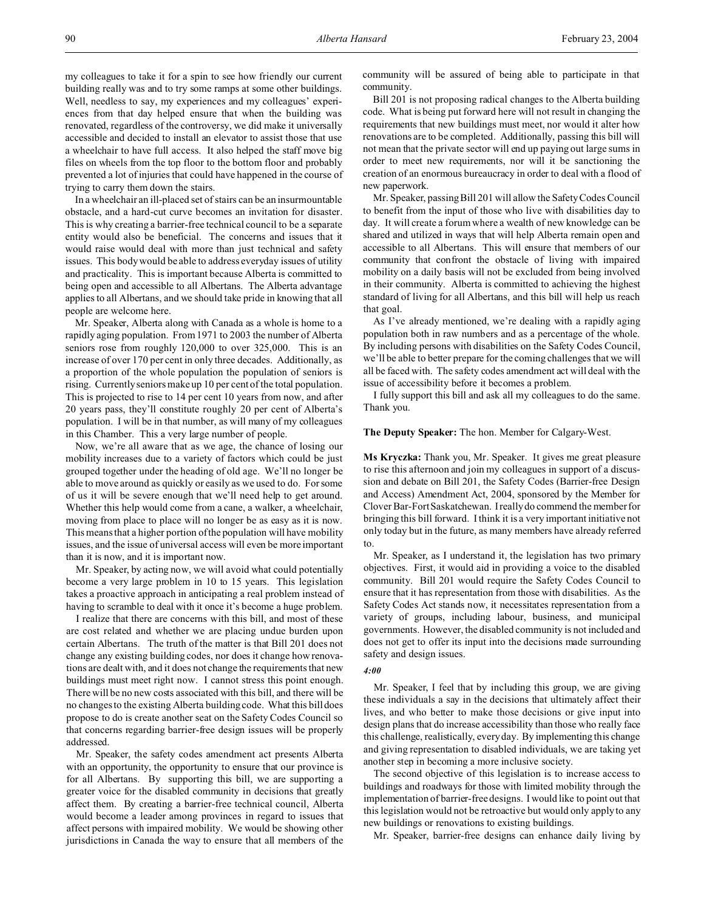my colleagues to take it for a spin to see how friendly our current building really was and to try some ramps at some other buildings. Well, needless to say, my experiences and my colleagues' experiences from that day helped ensure that when the building was renovated, regardless of the controversy, we did make it universally accessible and decided to install an elevator to assist those that use a wheelchair to have full access. It also helped the staff move big files on wheels from the top floor to the bottom floor and probably prevented a lot of injuries that could have happened in the course of trying to carry them down the stairs.

In a wheelchair an ill-placed set of stairs can be an insurmountable obstacle, and a hard-cut curve becomes an invitation for disaster. This is why creating a barrier-free technical council to be a separate entity would also be beneficial. The concerns and issues that it would raise would deal with more than just technical and safety issues. This body would be able to address everyday issues of utility and practicality. This is important because Alberta is committed to being open and accessible to all Albertans. The Alberta advantage applies to all Albertans, and we should take pride in knowing that all people are welcome here.

Mr. Speaker, Alberta along with Canada as a whole is home to a rapidly aging population. From 1971 to 2003 the number of Alberta seniors rose from roughly 120,000 to over 325,000. This is an increase of over 170 per cent in only three decades. Additionally, as a proportion of the whole population the population of seniors is rising. Currently seniors make up 10 per cent of the total population. This is projected to rise to 14 per cent 10 years from now, and after 20 years pass, they'll constitute roughly 20 per cent of Alberta's population. I will be in that number, as will many of my colleagues in this Chamber. This a very large number of people.

Now, we're all aware that as we age, the chance of losing our mobility increases due to a variety of factors which could be just grouped together under the heading of old age. We'll no longer be able to move around as quickly or easily as we used to do. For some of us it will be severe enough that we'll need help to get around. Whether this help would come from a cane, a walker, a wheelchair, moving from place to place will no longer be as easy as it is now. This means that a higher portion of the population will have mobility issues, and the issue of universal access will even be more important than it is now, and it is important now.

Mr. Speaker, by acting now, we will avoid what could potentially become a very large problem in 10 to 15 years. This legislation takes a proactive approach in anticipating a real problem instead of having to scramble to deal with it once it's become a huge problem.

I realize that there are concerns with this bill, and most of these are cost related and whether we are placing undue burden upon certain Albertans. The truth of the matter is that Bill 201 does not change any existing building codes, nor does it change how renovations are dealt with, and it does not change the requirements that new buildings must meet right now. I cannot stress this point enough. There will be no new costs associated with this bill, and there will be no changes to the existing Alberta building code. What this bill does propose to do is create another seat on the Safety Codes Council so that concerns regarding barrier-free design issues will be properly addressed.

Mr. Speaker, the safety codes amendment act presents Alberta with an opportunity, the opportunity to ensure that our province is for all Albertans. By supporting this bill, we are supporting a greater voice for the disabled community in decisions that greatly affect them. By creating a barrier-free technical council, Alberta would become a leader among provinces in regard to issues that affect persons with impaired mobility. We would be showing other jurisdictions in Canada the way to ensure that all members of the

community will be assured of being able to participate in that community.

Bill 201 is not proposing radical changes to the Alberta building code. What is being put forward here will not result in changing the requirements that new buildings must meet, nor would it alter how renovations are to be completed. Additionally, passing this bill will not mean that the private sector will end up paying out large sums in order to meet new requirements, nor will it be sanctioning the creation of an enormous bureaucracy in order to deal with a flood of new paperwork.

Mr. Speaker, passing Bill 201 will allow the Safety Codes Council to benefit from the input of those who live with disabilities day to day. It will create a forum where a wealth of new knowledge can be shared and utilized in ways that will help Alberta remain open and accessible to all Albertans. This will ensure that members of our community that confront the obstacle of living with impaired mobility on a daily basis will not be excluded from being involved in their community. Alberta is committed to achieving the highest standard of living for all Albertans, and this bill will help us reach that goal.

As I've already mentioned, we're dealing with a rapidly aging population both in raw numbers and as a percentage of the whole. By including persons with disabilities on the Safety Codes Council, we'll be able to better prepare for the coming challenges that we will all be faced with. The safety codes amendment act will deal with the issue of accessibility before it becomes a problem.

I fully support this bill and ask all my colleagues to do the same. Thank you.

**The Deputy Speaker:** The hon. Member for Calgary-West.

**Ms Kryczka:** Thank you, Mr. Speaker. It gives me great pleasure to rise this afternoon and join my colleagues in support of a discussion and debate on Bill 201, the Safety Codes (Barrier-free Design and Access) Amendment Act, 2004, sponsored by the Member for Clover Bar-Fort Saskatchewan. I really do commend the member for bringing this bill forward. I think it is a very important initiative not only today but in the future, as many members have already referred to.

Mr. Speaker, as I understand it, the legislation has two primary objectives. First, it would aid in providing a voice to the disabled community. Bill 201 would require the Safety Codes Council to ensure that it has representation from those with disabilities. As the Safety Codes Act stands now, it necessitates representation from a variety of groups, including labour, business, and municipal governments. However, the disabled community is not included and does not get to offer its input into the decisions made surrounding safety and design issues.

# *4:00*

Mr. Speaker, I feel that by including this group, we are giving these individuals a say in the decisions that ultimately affect their lives, and who better to make those decisions or give input into design plans that do increase accessibility than those who really face this challenge, realistically, every day. By implementing this change and giving representation to disabled individuals, we are taking yet another step in becoming a more inclusive society.

The second objective of this legislation is to increase access to buildings and roadways for those with limited mobility through the implementation of barrier-free designs. I would like to point out that this legislation would not be retroactive but would only apply to any new buildings or renovations to existing buildings.

Mr. Speaker, barrier-free designs can enhance daily living by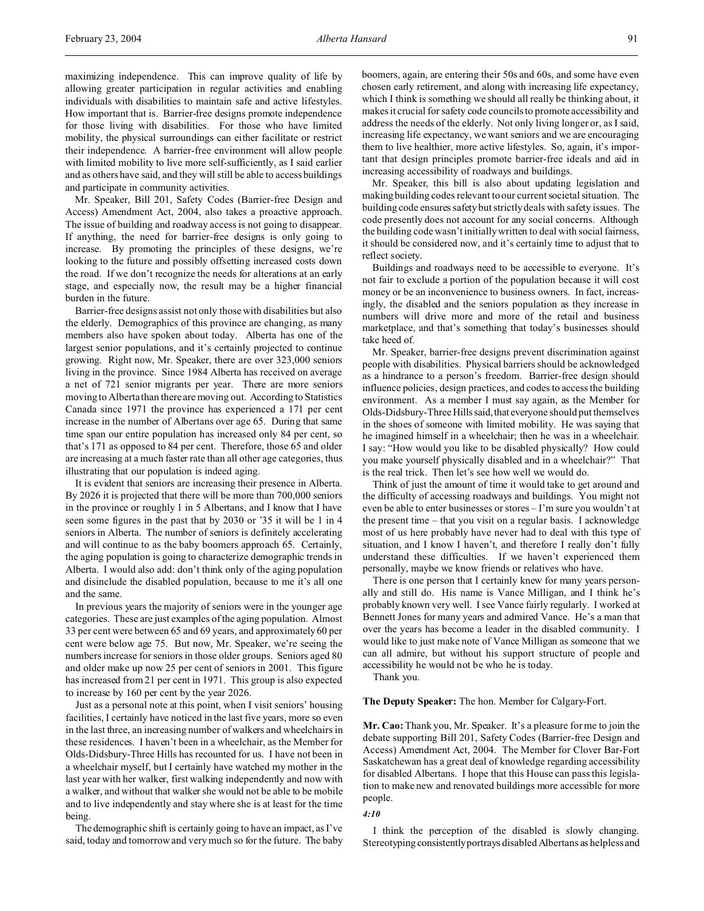maximizing independence. This can improve quality of life by allowing greater participation in regular activities and enabling individuals with disabilities to maintain safe and active lifestyles. How important that is. Barrier-free designs promote independence for those living with disabilities. For those who have limited mobility, the physical surroundings can either facilitate or restrict their independence. A barrier-free environment will allow people with limited mobility to live more self-sufficiently, as I said earlier and as others have said, and they will still be able to access buildings and participate in community activities.

Mr. Speaker, Bill 201, Safety Codes (Barrier-free Design and Access) Amendment Act, 2004, also takes a proactive approach. The issue of building and roadway access is not going to disappear. If anything, the need for barrier-free designs is only going to increase. By promoting the principles of these designs, we're looking to the future and possibly offsetting increased costs down the road. If we don't recognize the needs for alterations at an early stage, and especially now, the result may be a higher financial burden in the future.

Barrier-free designs assist not only those with disabilities but also the elderly. Demographics of this province are changing, as many members also have spoken about today. Alberta has one of the largest senior populations, and it's certainly projected to continue growing. Right now, Mr. Speaker, there are over 323,000 seniors living in the province. Since 1984 Alberta has received on average a net of 721 senior migrants per year. There are more seniors moving to Alberta than there are moving out. According to Statistics Canada since 1971 the province has experienced a 171 per cent increase in the number of Albertans over age 65. During that same time span our entire population has increased only 84 per cent, so that's 171 as opposed to 84 per cent. Therefore, those 65 and older are increasing at a much faster rate than all other age categories, thus illustrating that our population is indeed aging.

It is evident that seniors are increasing their presence in Alberta. By 2026 it is projected that there will be more than 700,000 seniors in the province or roughly 1 in 5 Albertans, and I know that I have seen some figures in the past that by 2030 or '35 it will be 1 in 4 seniors in Alberta. The number of seniors is definitely accelerating and will continue to as the baby boomers approach 65. Certainly, the aging population is going to characterize demographic trends in Alberta. I would also add: don't think only of the aging population and disinclude the disabled population, because to me it's all one and the same.

In previous years the majority of seniors were in the younger age categories. These are just examples of the aging population. Almost 33 per cent were between 65 and 69 years, and approximately 60 per cent were below age 75. But now, Mr. Speaker, we're seeing the numbers increase for seniors in those older groups. Seniors aged 80 and older make up now 25 per cent of seniors in 2001. This figure has increased from 21 per cent in 1971. This group is also expected to increase by 160 per cent by the year 2026.

Just as a personal note at this point, when I visit seniors' housing facilities, I certainly have noticed in the last five years, more so even in the last three, an increasing number of walkers and wheelchairs in these residences. I haven't been in a wheelchair, as the Member for Olds-Didsbury-Three Hills has recounted for us. I have not been in a wheelchair myself, but I certainly have watched my mother in the last year with her walker, first walking independently and now with a walker, and without that walker she would not be able to be mobile and to live independently and stay where she is at least for the time being.

The demographic shift is certainly going to have an impact, as I've said, today and tomorrow and very much so for the future. The baby boomers, again, are entering their 50s and 60s, and some have even chosen early retirement, and along with increasing life expectancy, which I think is something we should all really be thinking about, it makes it crucial for safety code councils to promote accessibility and address the needs of the elderly. Not only living longer or, as I said, increasing life expectancy, we want seniors and we are encouraging them to live healthier, more active lifestyles. So, again, it's important that design principles promote barrier-free ideals and aid in increasing accessibility of roadways and buildings.

Mr. Speaker, this bill is also about updating legislation and making building codes relevant to our current societal situation. The building code ensures safety but strictly deals with safety issues. The code presently does not account for any social concerns. Although the building code wasn't initially written to deal with social fairness, it should be considered now, and it's certainly time to adjust that to reflect society.

Buildings and roadways need to be accessible to everyone. It's not fair to exclude a portion of the population because it will cost money or be an inconvenience to business owners. In fact, increasingly, the disabled and the seniors population as they increase in numbers will drive more and more of the retail and business marketplace, and that's something that today's businesses should take heed of.

Mr. Speaker, barrier-free designs prevent discrimination against people with disabilities. Physical barriers should be acknowledged as a hindrance to a person's freedom. Barrier-free design should influence policies, design practices, and codes to access the building environment. As a member I must say again, as the Member for Olds-Didsbury-Three Hills said, that everyone should put themselves in the shoes of someone with limited mobility. He was saying that he imagined himself in a wheelchair; then he was in a wheelchair. I say: "How would you like to be disabled physically? How could you make yourself physically disabled and in a wheelchair?" That is the real trick. Then let's see how well we would do.

Think of just the amount of time it would take to get around and the difficulty of accessing roadways and buildings. You might not even be able to enter businesses or stores – I'm sure you wouldn't at the present time – that you visit on a regular basis. I acknowledge most of us here probably have never had to deal with this type of situation, and I know I haven't, and therefore I really don't fully understand these difficulties. If we haven't experienced them personally, maybe we know friends or relatives who have.

There is one person that I certainly knew for many years personally and still do. His name is Vance Milligan, and I think he's probably known very well. I see Vance fairly regularly. I worked at Bennett Jones for many years and admired Vance. He's a man that over the years has become a leader in the disabled community. I would like to just make note of Vance Milligan as someone that we can all admire, but without his support structure of people and accessibility he would not be who he is today.

Thank you.

## **The Deputy Speaker:** The hon. Member for Calgary-Fort.

**Mr. Cao:** Thank you, Mr. Speaker. It's a pleasure for me to join the debate supporting Bill 201, Safety Codes (Barrier-free Design and Access) Amendment Act, 2004. The Member for Clover Bar-Fort Saskatchewan has a great deal of knowledge regarding accessibility for disabled Albertans. I hope that this House can pass this legislation to make new and renovated buildings more accessible for more people.

# *4:10*

I think the perception of the disabled is slowly changing. Stereotyping consistently portrays disabled Albertans as helpless and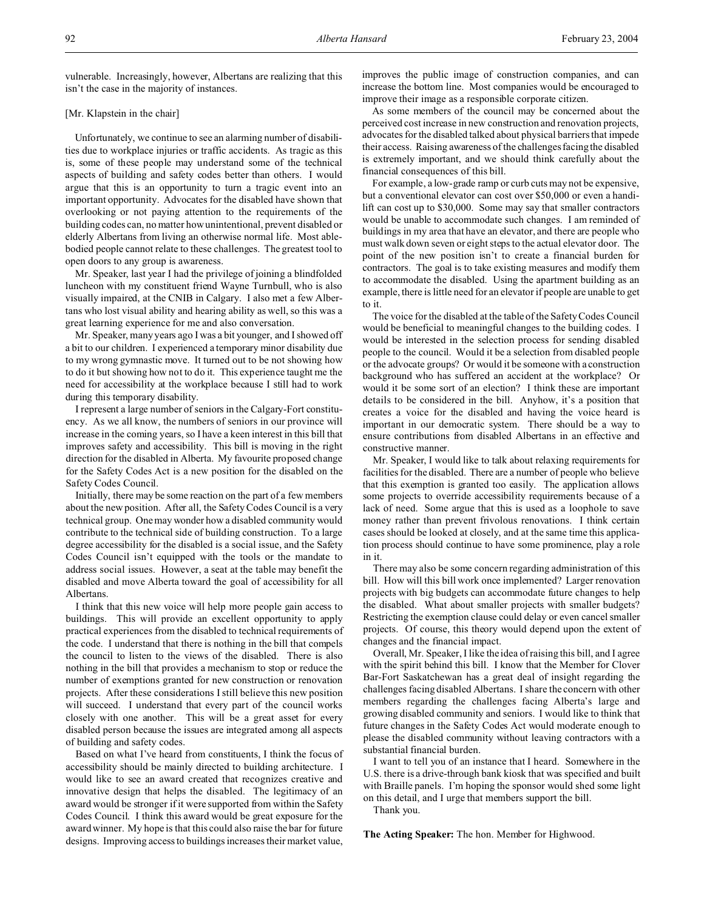vulnerable. Increasingly, however, Albertans are realizing that this isn't the case in the majority of instances.

# [Mr. Klapstein in the chair]

Unfortunately, we continue to see an alarming number of disabilities due to workplace injuries or traffic accidents. As tragic as this is, some of these people may understand some of the technical aspects of building and safety codes better than others. I would argue that this is an opportunity to turn a tragic event into an important opportunity. Advocates for the disabled have shown that overlooking or not paying attention to the requirements of the building codes can, no matter how unintentional, prevent disabled or elderly Albertans from living an otherwise normal life. Most ablebodied people cannot relate to these challenges. The greatest tool to open doors to any group is awareness.

Mr. Speaker, last year I had the privilege of joining a blindfolded luncheon with my constituent friend Wayne Turnbull, who is also visually impaired, at the CNIB in Calgary. I also met a few Albertans who lost visual ability and hearing ability as well, so this was a great learning experience for me and also conversation.

Mr. Speaker, many years ago I was a bit younger, and I showed off a bit to our children. I experienced a temporary minor disability due to my wrong gymnastic move. It turned out to be not showing how to do it but showing how not to do it. This experience taught me the need for accessibility at the workplace because I still had to work during this temporary disability.

I represent a large number of seniors in the Calgary-Fort constituency. As we all know, the numbers of seniors in our province will increase in the coming years, so I have a keen interest in this bill that improves safety and accessibility. This bill is moving in the right direction for the disabled in Alberta. My favourite proposed change for the Safety Codes Act is a new position for the disabled on the Safety Codes Council.

Initially, there may be some reaction on the part of a few members about the new position. After all, the Safety Codes Council is a very technical group. One may wonder how a disabled community would contribute to the technical side of building construction. To a large degree accessibility for the disabled is a social issue, and the Safety Codes Council isn't equipped with the tools or the mandate to address social issues. However, a seat at the table may benefit the disabled and move Alberta toward the goal of accessibility for all Albertans.

I think that this new voice will help more people gain access to buildings. This will provide an excellent opportunity to apply practical experiences from the disabled to technical requirements of the code. I understand that there is nothing in the bill that compels the council to listen to the views of the disabled. There is also nothing in the bill that provides a mechanism to stop or reduce the number of exemptions granted for new construction or renovation projects. After these considerations I still believe this new position will succeed. I understand that every part of the council works closely with one another. This will be a great asset for every disabled person because the issues are integrated among all aspects of building and safety codes.

Based on what I've heard from constituents, I think the focus of accessibility should be mainly directed to building architecture. I would like to see an award created that recognizes creative and innovative design that helps the disabled. The legitimacy of an award would be stronger if it were supported from within the Safety Codes Council. I think this award would be great exposure for the award winner. My hope is that this could also raise the bar for future designs. Improving access to buildings increases their market value,

improves the public image of construction companies, and can increase the bottom line. Most companies would be encouraged to improve their image as a responsible corporate citizen.

As some members of the council may be concerned about the perceived cost increase in new construction and renovation projects, advocates for the disabled talked about physical barriers that impede their access. Raising awareness of the challenges facing the disabled is extremely important, and we should think carefully about the financial consequences of this bill.

For example, a low-grade ramp or curb cuts may not be expensive, but a conventional elevator can cost over \$50,000 or even a handilift can cost up to \$30,000. Some may say that smaller contractors would be unable to accommodate such changes. I am reminded of buildings in my area that have an elevator, and there are people who must walk down seven or eight steps to the actual elevator door. The point of the new position isn't to create a financial burden for contractors. The goal is to take existing measures and modify them to accommodate the disabled. Using the apartment building as an example, there is little need for an elevator if people are unable to get to it.

The voice for the disabled at the table of the Safety Codes Council would be beneficial to meaningful changes to the building codes. I would be interested in the selection process for sending disabled people to the council. Would it be a selection from disabled people or the advocate groups? Or would it be someone with a construction background who has suffered an accident at the workplace? Or would it be some sort of an election? I think these are important details to be considered in the bill. Anyhow, it's a position that creates a voice for the disabled and having the voice heard is important in our democratic system. There should be a way to ensure contributions from disabled Albertans in an effective and constructive manner.

Mr. Speaker, I would like to talk about relaxing requirements for facilities for the disabled. There are a number of people who believe that this exemption is granted too easily. The application allows some projects to override accessibility requirements because of a lack of need. Some argue that this is used as a loophole to save money rather than prevent frivolous renovations. I think certain cases should be looked at closely, and at the same time this application process should continue to have some prominence, play a role in it.

There may also be some concern regarding administration of this bill. How will this bill work once implemented? Larger renovation projects with big budgets can accommodate future changes to help the disabled. What about smaller projects with smaller budgets? Restricting the exemption clause could delay or even cancel smaller projects. Of course, this theory would depend upon the extent of changes and the financial impact.

Overall, Mr. Speaker, I like the idea of raising this bill, and I agree with the spirit behind this bill. I know that the Member for Clover Bar-Fort Saskatchewan has a great deal of insight regarding the challenges facing disabled Albertans. I share the concern with other members regarding the challenges facing Alberta's large and growing disabled community and seniors. I would like to think that future changes in the Safety Codes Act would moderate enough to please the disabled community without leaving contractors with a substantial financial burden.

I want to tell you of an instance that I heard. Somewhere in the U.S. there is a drive-through bank kiosk that was specified and built with Braille panels. I'm hoping the sponsor would shed some light on this detail, and I urge that members support the bill.

Thank you.

**The Acting Speaker:** The hon. Member for Highwood.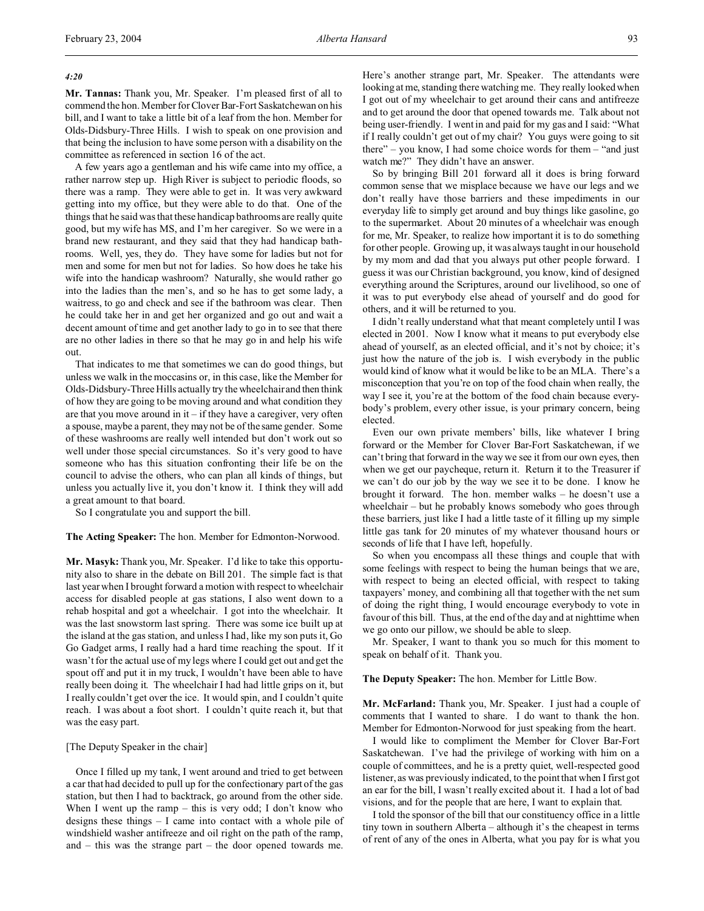# *4:20*

**Mr. Tannas:** Thank you, Mr. Speaker. I'm pleased first of all to commend the hon. Member for Clover Bar-Fort Saskatchewan on his bill, and I want to take a little bit of a leaf from the hon. Member for Olds-Didsbury-Three Hills. I wish to speak on one provision and that being the inclusion to have some person with a disability on the committee as referenced in section 16 of the act.

A few years ago a gentleman and his wife came into my office, a rather narrow step up. High River is subject to periodic floods, so there was a ramp. They were able to get in. It was very awkward getting into my office, but they were able to do that. One of the things that he said was that these handicap bathrooms are really quite good, but my wife has MS, and I'm her caregiver. So we were in a brand new restaurant, and they said that they had handicap bathrooms. Well, yes, they do. They have some for ladies but not for men and some for men but not for ladies. So how does he take his wife into the handicap washroom? Naturally, she would rather go into the ladies than the men's, and so he has to get some lady, a waitress, to go and check and see if the bathroom was clear. Then he could take her in and get her organized and go out and wait a decent amount of time and get another lady to go in to see that there are no other ladies in there so that he may go in and help his wife out.

That indicates to me that sometimes we can do good things, but unless we walk in the moccasins or, in this case, like the Member for Olds-Didsbury-Three Hills actually try the wheelchair and then think of how they are going to be moving around and what condition they are that you move around in it  $-$  if they have a caregiver, very often a spouse, maybe a parent, they may not be of the same gender. Some of these washrooms are really well intended but don't work out so well under those special circumstances. So it's very good to have someone who has this situation confronting their life be on the council to advise the others, who can plan all kinds of things, but unless you actually live it, you don't know it. I think they will add a great amount to that board.

So I congratulate you and support the bill.

**The Acting Speaker:** The hon. Member for Edmonton-Norwood.

**Mr. Masyk:** Thank you, Mr. Speaker. I'd like to take this opportunity also to share in the debate on Bill 201. The simple fact is that last year when I brought forward a motion with respect to wheelchair access for disabled people at gas stations, I also went down to a rehab hospital and got a wheelchair. I got into the wheelchair. It was the last snowstorm last spring. There was some ice built up at the island at the gas station, and unless I had, like my son puts it, Go Go Gadget arms, I really had a hard time reaching the spout. If it wasn't for the actual use of my legs where I could get out and get the spout off and put it in my truck, I wouldn't have been able to have really been doing it. The wheelchair I had had little grips on it, but I really couldn't get over the ice. It would spin, and I couldn't quite reach. I was about a foot short. I couldn't quite reach it, but that was the easy part.

# [The Deputy Speaker in the chair]

Once I filled up my tank, I went around and tried to get between a car that had decided to pull up for the confectionary part of the gas station, but then I had to backtrack, go around from the other side. When I went up the ramp – this is very odd; I don't know who designs these things – I came into contact with a whole pile of windshield washer antifreeze and oil right on the path of the ramp, and – this was the strange part – the door opened towards me.

Here's another strange part, Mr. Speaker. The attendants were looking at me, standing there watching me. They really looked when I got out of my wheelchair to get around their cans and antifreeze and to get around the door that opened towards me. Talk about not being user-friendly. I went in and paid for my gas and I said: "What if I really couldn't get out of my chair? You guys were going to sit there" – you know, I had some choice words for them – "and just watch me?" They didn't have an answer.

So by bringing Bill 201 forward all it does is bring forward common sense that we misplace because we have our legs and we don't really have those barriers and these impediments in our everyday life to simply get around and buy things like gasoline, go to the supermarket. About 20 minutes of a wheelchair was enough for me, Mr. Speaker, to realize how important it is to do something for other people. Growing up, it was always taught in our household by my mom and dad that you always put other people forward. I guess it was our Christian background, you know, kind of designed everything around the Scriptures, around our livelihood, so one of it was to put everybody else ahead of yourself and do good for others, and it will be returned to you.

I didn't really understand what that meant completely until I was elected in 2001. Now I know what it means to put everybody else ahead of yourself, as an elected official, and it's not by choice; it's just how the nature of the job is. I wish everybody in the public would kind of know what it would be like to be an MLA. There's a misconception that you're on top of the food chain when really, the way I see it, you're at the bottom of the food chain because everybody's problem, every other issue, is your primary concern, being elected.

Even our own private members' bills, like whatever I bring forward or the Member for Clover Bar-Fort Saskatchewan, if we can't bring that forward in the way we see it from our own eyes, then when we get our paycheque, return it. Return it to the Treasurer if we can't do our job by the way we see it to be done. I know he brought it forward. The hon. member walks – he doesn't use a wheelchair – but he probably knows somebody who goes through these barriers, just like I had a little taste of it filling up my simple little gas tank for 20 minutes of my whatever thousand hours or seconds of life that I have left, hopefully.

So when you encompass all these things and couple that with some feelings with respect to being the human beings that we are, with respect to being an elected official, with respect to taking taxpayers' money, and combining all that together with the net sum of doing the right thing, I would encourage everybody to vote in favour of this bill. Thus, at the end of the day and at nighttime when we go onto our pillow, we should be able to sleep.

Mr. Speaker, I want to thank you so much for this moment to speak on behalf of it. Thank you.

#### **The Deputy Speaker:** The hon. Member for Little Bow.

**Mr. McFarland:** Thank you, Mr. Speaker. I just had a couple of comments that I wanted to share. I do want to thank the hon. Member for Edmonton-Norwood for just speaking from the heart.

I would like to compliment the Member for Clover Bar-Fort Saskatchewan. I've had the privilege of working with him on a couple of committees, and he is a pretty quiet, well-respected good listener, as was previously indicated, to the point that when I first got an ear for the bill, I wasn't really excited about it. I had a lot of bad visions, and for the people that are here, I want to explain that.

I told the sponsor of the bill that our constituency office in a little tiny town in southern Alberta – although it's the cheapest in terms of rent of any of the ones in Alberta, what you pay for is what you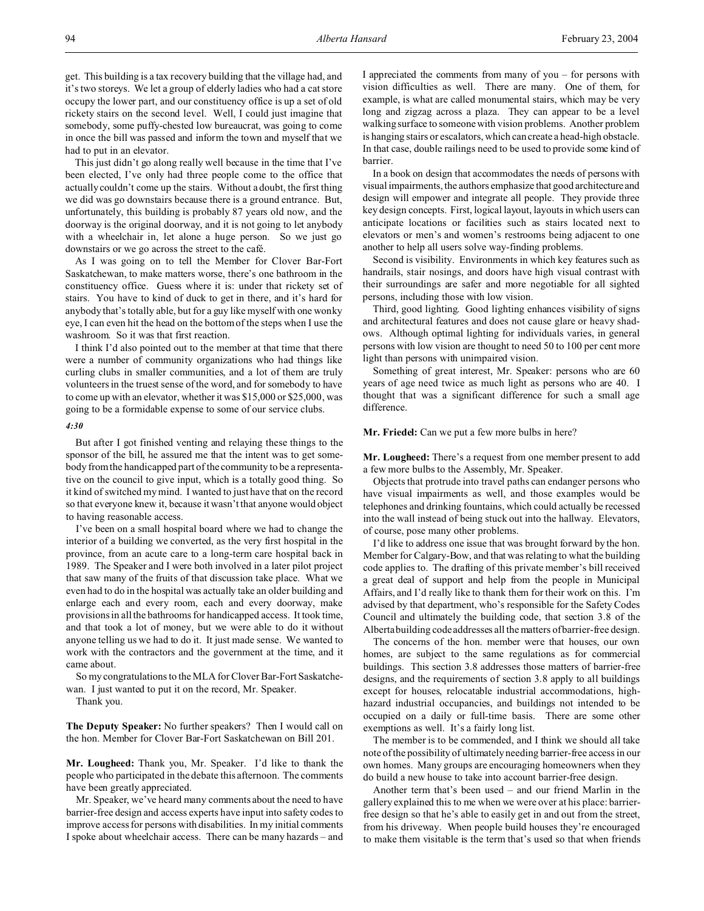get. This building is a tax recovery building that the village had, and it's two storeys. We let a group of elderly ladies who had a cat store occupy the lower part, and our constituency office is up a set of old rickety stairs on the second level. Well, I could just imagine that somebody, some puffy-chested low bureaucrat, was going to come in once the bill was passed and inform the town and myself that we had to put in an elevator.

This just didn't go along really well because in the time that I've been elected, I've only had three people come to the office that actually couldn't come up the stairs. Without a doubt, the first thing we did was go downstairs because there is a ground entrance. But, unfortunately, this building is probably 87 years old now, and the doorway is the original doorway, and it is not going to let anybody with a wheelchair in, let alone a huge person. So we just go downstairs or we go across the street to the café.

As I was going on to tell the Member for Clover Bar-Fort Saskatchewan, to make matters worse, there's one bathroom in the constituency office. Guess where it is: under that rickety set of stairs. You have to kind of duck to get in there, and it's hard for anybody that's totally able, but for a guy like myself with one wonky eye, I can even hit the head on the bottom of the steps when I use the washroom. So it was that first reaction.

I think I'd also pointed out to the member at that time that there were a number of community organizations who had things like curling clubs in smaller communities, and a lot of them are truly volunteers in the truest sense of the word, and for somebody to have to come up with an elevator, whether it was \$15,000 or \$25,000, was going to be a formidable expense to some of our service clubs.

#### *4:30*

But after I got finished venting and relaying these things to the sponsor of the bill, he assured me that the intent was to get somebody from the handicapped part of the community to be a representative on the council to give input, which is a totally good thing. So it kind of switched my mind. I wanted to just have that on the record so that everyone knew it, because it wasn't that anyone would object to having reasonable access.

I've been on a small hospital board where we had to change the interior of a building we converted, as the very first hospital in the province, from an acute care to a long-term care hospital back in 1989. The Speaker and I were both involved in a later pilot project that saw many of the fruits of that discussion take place. What we even had to do in the hospital was actually take an older building and enlarge each and every room, each and every doorway, make provisions in all the bathrooms for handicapped access. It took time, and that took a lot of money, but we were able to do it without anyone telling us we had to do it. It just made sense. We wanted to work with the contractors and the government at the time, and it came about.

So my congratulations to the MLA for Clover Bar-Fort Saskatchewan. I just wanted to put it on the record, Mr. Speaker.

Thank you.

**The Deputy Speaker:** No further speakers? Then I would call on the hon. Member for Clover Bar-Fort Saskatchewan on Bill 201.

**Mr. Lougheed:** Thank you, Mr. Speaker. I'd like to thank the people who participated in the debate this afternoon. The comments have been greatly appreciated.

Mr. Speaker, we've heard many comments about the need to have barrier-free design and access experts have input into safety codes to improve access for persons with disabilities. In my initial comments I spoke about wheelchair access. There can be many hazards – and

I appreciated the comments from many of you – for persons with vision difficulties as well. There are many. One of them, for example, is what are called monumental stairs, which may be very long and zigzag across a plaza. They can appear to be a level walking surface to someone with vision problems. Another problem is hanging stairs or escalators, which can create a head-high obstacle. In that case, double railings need to be used to provide some kind of barrier.

In a book on design that accommodates the needs of persons with visual impairments, the authors emphasize that good architecture and design will empower and integrate all people. They provide three key design concepts. First, logical layout, layouts in which users can anticipate locations or facilities such as stairs located next to elevators or men's and women's restrooms being adjacent to one another to help all users solve way-finding problems.

Second is visibility. Environments in which key features such as handrails, stair nosings, and doors have high visual contrast with their surroundings are safer and more negotiable for all sighted persons, including those with low vision.

Third, good lighting. Good lighting enhances visibility of signs and architectural features and does not cause glare or heavy shadows. Although optimal lighting for individuals varies, in general persons with low vision are thought to need 50 to 100 per cent more light than persons with unimpaired vision.

Something of great interest, Mr. Speaker: persons who are 60 years of age need twice as much light as persons who are 40. I thought that was a significant difference for such a small age difference.

## **Mr. Friedel:** Can we put a few more bulbs in here?

**Mr. Lougheed:** There's a request from one member present to add a few more bulbs to the Assembly, Mr. Speaker.

Objects that protrude into travel paths can endanger persons who have visual impairments as well, and those examples would be telephones and drinking fountains, which could actually be recessed into the wall instead of being stuck out into the hallway. Elevators, of course, pose many other problems.

I'd like to address one issue that was brought forward by the hon. Member for Calgary-Bow, and that was relating to what the building code applies to. The drafting of this private member's bill received a great deal of support and help from the people in Municipal Affairs, and I'd really like to thank them for their work on this. I'm advised by that department, who's responsible for the Safety Codes Council and ultimately the building code, that section 3.8 of the Alberta building code addresses all the matters of barrier-free design.

The concerns of the hon. member were that houses, our own homes, are subject to the same regulations as for commercial buildings. This section 3.8 addresses those matters of barrier-free designs, and the requirements of section 3.8 apply to all buildings except for houses, relocatable industrial accommodations, highhazard industrial occupancies, and buildings not intended to be occupied on a daily or full-time basis. There are some other exemptions as well. It's a fairly long list.

The member is to be commended, and I think we should all take note of the possibility of ultimately needing barrier-free access in our own homes. Many groups are encouraging homeowners when they do build a new house to take into account barrier-free design.

Another term that's been used – and our friend Marlin in the gallery explained this to me when we were over at his place: barrierfree design so that he's able to easily get in and out from the street, from his driveway. When people build houses they're encouraged to make them visitable is the term that's used so that when friends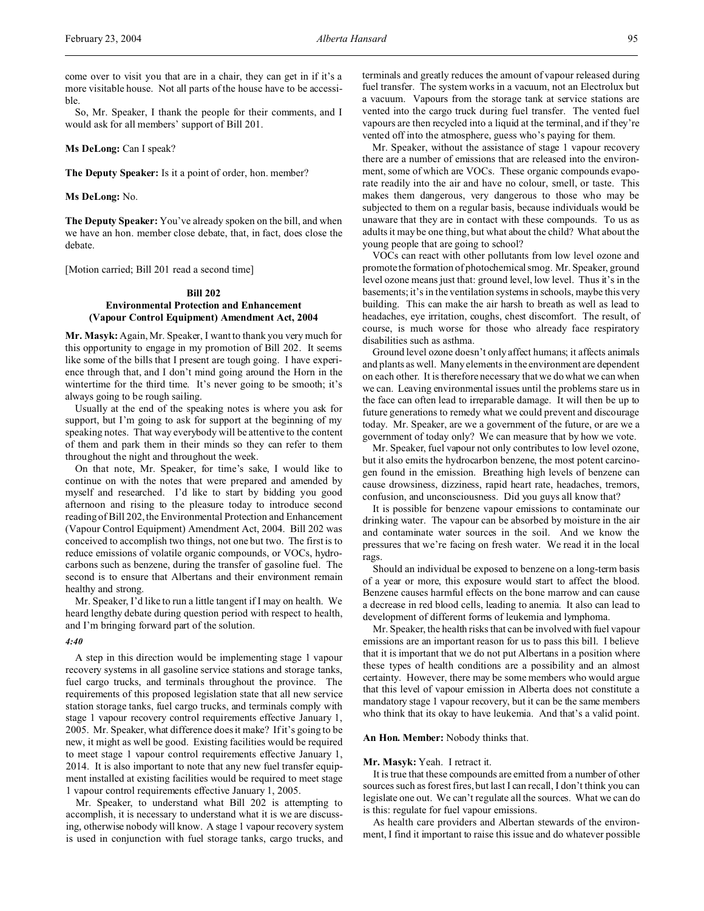come over to visit you that are in a chair, they can get in if it's a more visitable house. Not all parts of the house have to be accessible.

So, Mr. Speaker, I thank the people for their comments, and I would ask for all members' support of Bill 201.

**Ms DeLong:** Can I speak?

**The Deputy Speaker:** Is it a point of order, hon. member?

**Ms DeLong:** No.

**The Deputy Speaker:** You've already spoken on the bill, and when we have an hon. member close debate, that, in fact, does close the debate.

[Motion carried; Bill 201 read a second time]

## **Bill 202**

# **Environmental Protection and Enhancement (Vapour Control Equipment) Amendment Act, 2004**

**Mr. Masyk:** Again, Mr. Speaker, I want to thank you very much for this opportunity to engage in my promotion of Bill 202. It seems like some of the bills that I present are tough going. I have experience through that, and I don't mind going around the Horn in the wintertime for the third time. It's never going to be smooth; it's always going to be rough sailing.

Usually at the end of the speaking notes is where you ask for support, but I'm going to ask for support at the beginning of my speaking notes. That way everybody will be attentive to the content of them and park them in their minds so they can refer to them throughout the night and throughout the week.

On that note, Mr. Speaker, for time's sake, I would like to continue on with the notes that were prepared and amended by myself and researched. I'd like to start by bidding you good afternoon and rising to the pleasure today to introduce second reading of Bill 202, the Environmental Protection and Enhancement (Vapour Control Equipment) Amendment Act, 2004. Bill 202 was conceived to accomplish two things, not one but two. The first is to reduce emissions of volatile organic compounds, or VOCs, hydrocarbons such as benzene, during the transfer of gasoline fuel. The second is to ensure that Albertans and their environment remain healthy and strong.

Mr. Speaker, I'd like to run a little tangent if I may on health. We heard lengthy debate during question period with respect to health, and I'm bringing forward part of the solution.

#### *4:40*

A step in this direction would be implementing stage 1 vapour recovery systems in all gasoline service stations and storage tanks, fuel cargo trucks, and terminals throughout the province. The requirements of this proposed legislation state that all new service station storage tanks, fuel cargo trucks, and terminals comply with stage 1 vapour recovery control requirements effective January 1, 2005. Mr. Speaker, what difference does it make? If it's going to be new, it might as well be good. Existing facilities would be required to meet stage 1 vapour control requirements effective January 1, 2014. It is also important to note that any new fuel transfer equipment installed at existing facilities would be required to meet stage 1 vapour control requirements effective January 1, 2005.

Mr. Speaker, to understand what Bill 202 is attempting to accomplish, it is necessary to understand what it is we are discussing, otherwise nobody will know. A stage 1 vapour recovery system is used in conjunction with fuel storage tanks, cargo trucks, and

terminals and greatly reduces the amount of vapour released during fuel transfer. The system works in a vacuum, not an Electrolux but a vacuum. Vapours from the storage tank at service stations are vented into the cargo truck during fuel transfer. The vented fuel vapours are then recycled into a liquid at the terminal, and if they're vented off into the atmosphere, guess who's paying for them.

Mr. Speaker, without the assistance of stage 1 vapour recovery there are a number of emissions that are released into the environment, some of which are VOCs. These organic compounds evaporate readily into the air and have no colour, smell, or taste. This makes them dangerous, very dangerous to those who may be subjected to them on a regular basis, because individuals would be unaware that they are in contact with these compounds. To us as adults it may be one thing, but what about the child? What about the young people that are going to school?

VOCs can react with other pollutants from low level ozone and promote the formation of photochemical smog. Mr. Speaker, ground level ozone means just that: ground level, low level. Thus it's in the basements; it's in the ventilation systems in schools, maybe this very building. This can make the air harsh to breath as well as lead to headaches, eye irritation, coughs, chest discomfort. The result, of course, is much worse for those who already face respiratory disabilities such as asthma.

Ground level ozone doesn't only affect humans; it affects animals and plants as well. Many elements in the environment are dependent on each other. It is therefore necessary that we do what we can when we can. Leaving environmental issues until the problems stare us in the face can often lead to irreparable damage. It will then be up to future generations to remedy what we could prevent and discourage today. Mr. Speaker, are we a government of the future, or are we a government of today only? We can measure that by how we vote.

Mr. Speaker, fuel vapour not only contributes to low level ozone, but it also emits the hydrocarbon benzene, the most potent carcinogen found in the emission. Breathing high levels of benzene can cause drowsiness, dizziness, rapid heart rate, headaches, tremors, confusion, and unconsciousness. Did you guys all know that?

It is possible for benzene vapour emissions to contaminate our drinking water. The vapour can be absorbed by moisture in the air and contaminate water sources in the soil. And we know the pressures that we're facing on fresh water. We read it in the local rags.

Should an individual be exposed to benzene on a long-term basis of a year or more, this exposure would start to affect the blood. Benzene causes harmful effects on the bone marrow and can cause a decrease in red blood cells, leading to anemia. It also can lead to development of different forms of leukemia and lymphoma.

Mr. Speaker, the health risks that can be involved with fuel vapour emissions are an important reason for us to pass this bill. I believe that it is important that we do not put Albertans in a position where these types of health conditions are a possibility and an almost certainty. However, there may be some members who would argue that this level of vapour emission in Alberta does not constitute a mandatory stage 1 vapour recovery, but it can be the same members who think that its okay to have leukemia. And that's a valid point.

# **An Hon. Member:** Nobody thinks that.

#### **Mr. Masyk:** Yeah. I retract it.

It is true that these compounds are emitted from a number of other sources such as forest fires, but last I can recall, I don't think you can legislate one out. We can't regulate all the sources. What we can do is this: regulate for fuel vapour emissions.

As health care providers and Albertan stewards of the environment, I find it important to raise this issue and do whatever possible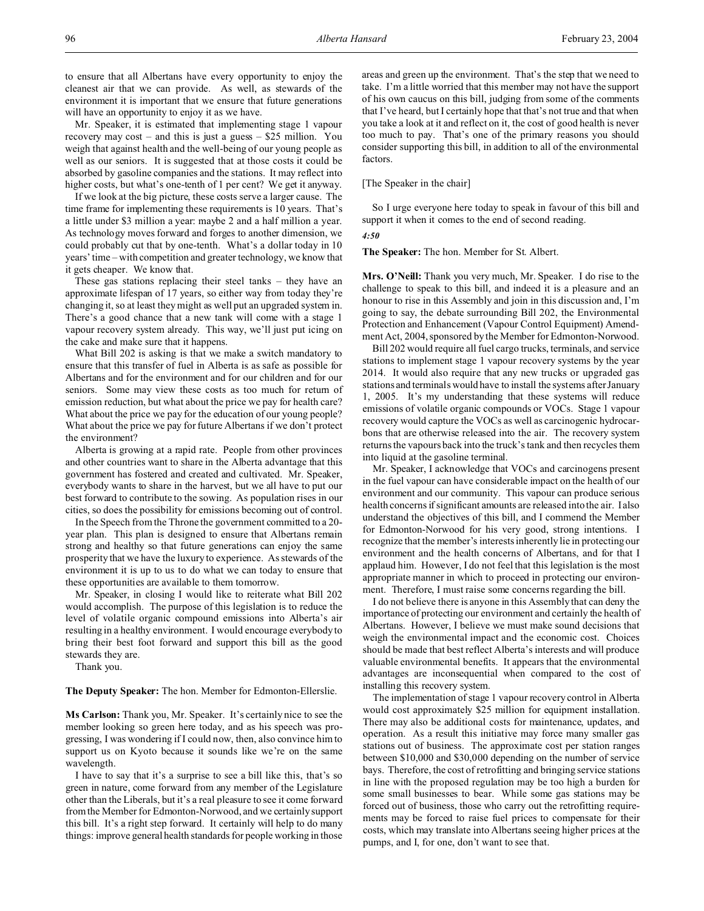to ensure that all Albertans have every opportunity to enjoy the cleanest air that we can provide. As well, as stewards of the environment it is important that we ensure that future generations will have an opportunity to enjoy it as we have.

Mr. Speaker, it is estimated that implementing stage 1 vapour recovery may cost – and this is just a guess – \$25 million. You weigh that against health and the well-being of our young people as well as our seniors. It is suggested that at those costs it could be absorbed by gasoline companies and the stations. It may reflect into higher costs, but what's one-tenth of 1 per cent? We get it anyway.

If we look at the big picture, these costs serve a larger cause. The time frame for implementing these requirements is 10 years. That's a little under \$3 million a year: maybe 2 and a half million a year. As technology moves forward and forges to another dimension, we could probably cut that by one-tenth. What's a dollar today in 10 years' time – with competition and greater technology, we know that it gets cheaper. We know that.

These gas stations replacing their steel tanks – they have an approximate lifespan of 17 years, so either way from today they're changing it, so at least they might as well put an upgraded system in. There's a good chance that a new tank will come with a stage 1 vapour recovery system already. This way, we'll just put icing on the cake and make sure that it happens.

What Bill 202 is asking is that we make a switch mandatory to ensure that this transfer of fuel in Alberta is as safe as possible for Albertans and for the environment and for our children and for our seniors. Some may view these costs as too much for return of emission reduction, but what about the price we pay for health care? What about the price we pay for the education of our young people? What about the price we pay for future Albertans if we don't protect the environment?

Alberta is growing at a rapid rate. People from other provinces and other countries want to share in the Alberta advantage that this government has fostered and created and cultivated. Mr. Speaker, everybody wants to share in the harvest, but we all have to put our best forward to contribute to the sowing. As population rises in our cities, so does the possibility for emissions becoming out of control.

In the Speech from the Throne the government committed to a 20 year plan. This plan is designed to ensure that Albertans remain strong and healthy so that future generations can enjoy the same prosperity that we have the luxury to experience. As stewards of the environment it is up to us to do what we can today to ensure that these opportunities are available to them tomorrow.

Mr. Speaker, in closing I would like to reiterate what Bill 202 would accomplish. The purpose of this legislation is to reduce the level of volatile organic compound emissions into Alberta's air resulting in a healthy environment. I would encourage everybody to bring their best foot forward and support this bill as the good stewards they are.

Thank you.

#### **The Deputy Speaker:** The hon. Member for Edmonton-Ellerslie.

**Ms Carlson:** Thank you, Mr. Speaker. It's certainly nice to see the member looking so green here today, and as his speech was progressing, I was wondering if I could now, then, also convince him to support us on Kyoto because it sounds like we're on the same wavelength.

I have to say that it's a surprise to see a bill like this, that's so green in nature, come forward from any member of the Legislature other than the Liberals, but it's a real pleasure to see it come forward from the Member for Edmonton-Norwood, and we certainly support this bill. It's a right step forward. It certainly will help to do many things: improve general health standards for people working in those

areas and green up the environment. That's the step that we need to take. I'm a little worried that this member may not have the support of his own caucus on this bill, judging from some of the comments that I've heard, but I certainly hope that that's not true and that when you take a look at it and reflect on it, the cost of good health is never too much to pay. That's one of the primary reasons you should consider supporting this bill, in addition to all of the environmental factors.

# [The Speaker in the chair]

So I urge everyone here today to speak in favour of this bill and support it when it comes to the end of second reading.

*4:50*

**The Speaker:** The hon. Member for St. Albert.

**Mrs. O'Neill:** Thank you very much, Mr. Speaker. I do rise to the challenge to speak to this bill, and indeed it is a pleasure and an honour to rise in this Assembly and join in this discussion and, I'm going to say, the debate surrounding Bill 202, the Environmental Protection and Enhancement (Vapour Control Equipment) Amendment Act, 2004, sponsored by the Member for Edmonton-Norwood.

Bill 202 would require all fuel cargo trucks, terminals, and service stations to implement stage 1 vapour recovery systems by the year 2014. It would also require that any new trucks or upgraded gas stations and terminals would have to install the systems after January 1, 2005. It's my understanding that these systems will reduce emissions of volatile organic compounds or VOCs. Stage 1 vapour recovery would capture the VOCs as well as carcinogenic hydrocarbons that are otherwise released into the air. The recovery system returns the vapours back into the truck's tank and then recycles them into liquid at the gasoline terminal.

Mr. Speaker, I acknowledge that VOCs and carcinogens present in the fuel vapour can have considerable impact on the health of our environment and our community. This vapour can produce serious health concerns if significant amounts are released into the air. I also understand the objectives of this bill, and I commend the Member for Edmonton-Norwood for his very good, strong intentions. I recognize that the member's interests inherently lie in protecting our environment and the health concerns of Albertans, and for that I applaud him. However, I do not feel that this legislation is the most appropriate manner in which to proceed in protecting our environment. Therefore, I must raise some concerns regarding the bill.

I do not believe there is anyone in this Assembly that can deny the importance of protecting our environment and certainly the health of Albertans. However, I believe we must make sound decisions that weigh the environmental impact and the economic cost. Choices should be made that best reflect Alberta's interests and will produce valuable environmental benefits. It appears that the environmental advantages are inconsequential when compared to the cost of installing this recovery system.

The implementation of stage 1 vapour recovery control in Alberta would cost approximately \$25 million for equipment installation. There may also be additional costs for maintenance, updates, and operation. As a result this initiative may force many smaller gas stations out of business. The approximate cost per station ranges between \$10,000 and \$30,000 depending on the number of service bays. Therefore, the cost of retrofitting and bringing service stations in line with the proposed regulation may be too high a burden for some small businesses to bear. While some gas stations may be forced out of business, those who carry out the retrofitting requirements may be forced to raise fuel prices to compensate for their costs, which may translate into Albertans seeing higher prices at the pumps, and I, for one, don't want to see that.